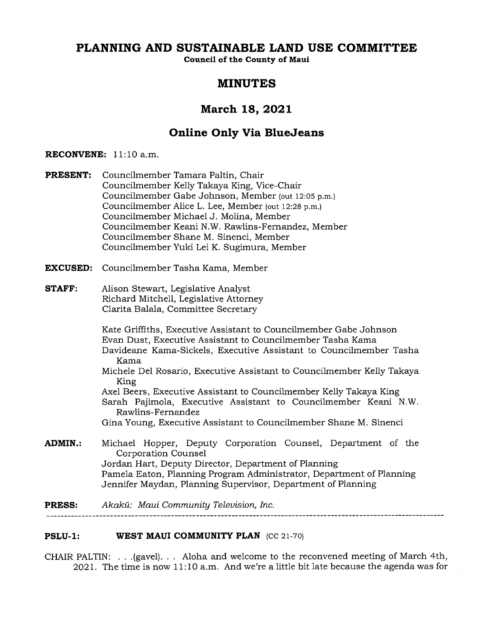# **PLANNING AND SUSTAINABLE LAND USE COMMITTEE**

**Council of the County of Maui** 

# **MINUTES**

# **March 18, 2021**

# **Online Only Via BlueJeans**

# **RECONVENE: 11:10** a.m.

**PRESENT:** Councilmember Tamara Paltin, Chair Councilmember Kelly Takaya King, Vice-Chair Councilmember Gabe Johnson, Member (out 12:05 p.m.) Councilmember Alice L. Lee, Member (out 12:28 p.m.) Councilmember Michael J. Molina, Member Councilmember Keani N.W. Rawlins-Fernandez, Member Councilmember Shane M. Sinenci, Member Councilmember Yuki Lei K. Sugimura, Member

**EXCUSED:** Councilmember Tasha Kama, Member

# **STAFF:** Alison Stewart, Legislative Analyst Richard Mitchell, Legislative Attorney Clarita Balala, Committee Secretary

Kate Griffiths, Executive Assistant to Councilmember Gabe Johnson Evan Dust, Executive Assistant to Councilmember Tasha Kama

- Davideane Kama-Sickels, Executive Assistant to Councilmember Tasha Kama
- Michele Del Rosario, Executive Assistant to Councilmember Kelly Takaya King

Axel Beers, Executive Assistant to Councilmember Kelly Takaya King Sarah Pajimola, Executive Assistant to Councilmember Keani N.W. Rawlins-Fernandez

Gina Young, Executive Assistant to Councilmember Shane M. Sinenci

**ADMIN.:** Michael Hopper, Deputy Corporation Counsel, Department of the Corporation Counsel Jordan Hart, Deputy Director, Department of Planning Pamela Eaton, Planning Program Administrator, Department of Planning Jennifer Maydan, Planning Supervisor, Department of Planning

**PRESS:** Akakil: *Maui Community Television, Inc.* 

# **PSLU-1: WEST MAUI COMMUNITY PLAN** (CC 21-70)

CHAIR PALTIN: . . .(gavel). . . Aloha and welcome to the reconvened meeting of March 4th, 2021. The time is now 11:10 a.m. And we're a little bit late because the agenda was for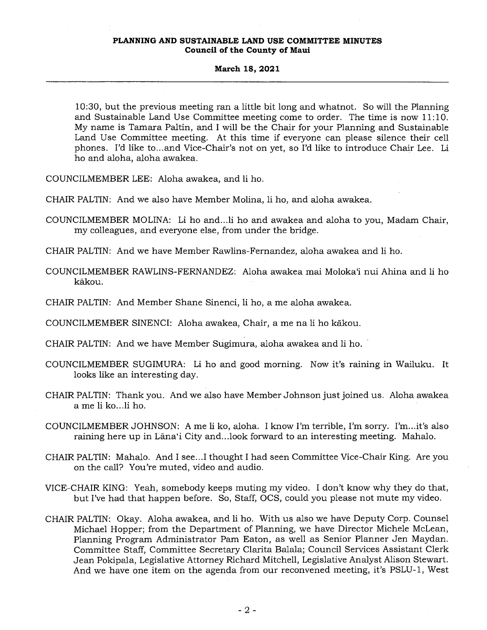### **March 18, 2021**

10:30, but the previous meeting ran a little bit long and whatnot. So will the Planning and Sustainable Land Use Committee meeting come to order. The time is now 11:10. My name is Tamara Paltin, and I will be the Chair for your Planning and Sustainable Land Use Committee meeting. At this time if everyone can please silence their cell phones. I'd like to...and Vice-Chair's not on yet, so I'd like to introduce Chair Lee. Li ho and aloha, aloha awakea.

COUNCILMEMBER LEE: Aloha awakea, and li ho.

CHAIR PALTIN: And we also have Member Molina, li ho, and aloha awakea.

COUNCILMEMBER MOLINA: Li ho and...1i ho and awakea and aloha to you, Madam Chair, my colleagues, and everyone else, from under the bridge.

CHAIR PALTIN: And we have Member Rawlins-Fernandez, aloha awakea and li ho.

- COUNCILMEMBER RAWLINS-FERNANDEZ: Aloha awakea mai Moloka'i nui Ahina and li ho kakou.
- CHAIR PALTIN: And Member Shane Sinenci, li ho, a me aloha awakea.

COUNCILMEMBER SINENCI: Aloha awakea, Chair, a me na li ho kakou.

CHAIR PALTIN: And we have Member Sugimura, aloha awakea and li ho.

- COUNCILMEMBER SUGIMURA: Li ho and good morning. Now it's raining in Wailuku. It looks like an interesting day.
- CHAIR PALTIN: Thank you. And we also have Member Johnson just joined us. Aloha awakea a me li ko...li ho.
- COUNCILMEMBER JOHNSON: A me li ko, aloha. I know I'm terrible, I'm sorry. I'm...it's also raining here up in Lana`i City and...look forward to an interesting meeting. Mahalo.
- CHAIR PALTIN: Mahalo. And I see...I thought I had seen Committee Vice-Chair King. Are you on the call? You're muted, video and audio.
- VICE-CHAIR KING: Yeah, somebody keeps muting my video. I don't know why they do that, but I've had that happen before. So, Staff, OCS, could you please not mute my video.
- CHAIR PALTIN: Okay. Aloha awakea, and li ho. With us also we have Deputy Corp. Counsel Michael Hopper; from the Department of Planning, we have Director Michele McLean, Planning Program Administrator Pam Eaton, as well as Senior Planner Jen Maydan. Committee Staff, Committee Secretary Clarita Balala; Council Services Assistant Clerk Jean Pokipala, Legislative Attorney Richard Mitchell, Legislative Analyst Alison Stewart. And we have one item on the agenda from our reconvened meeting, it's PSLU-1, West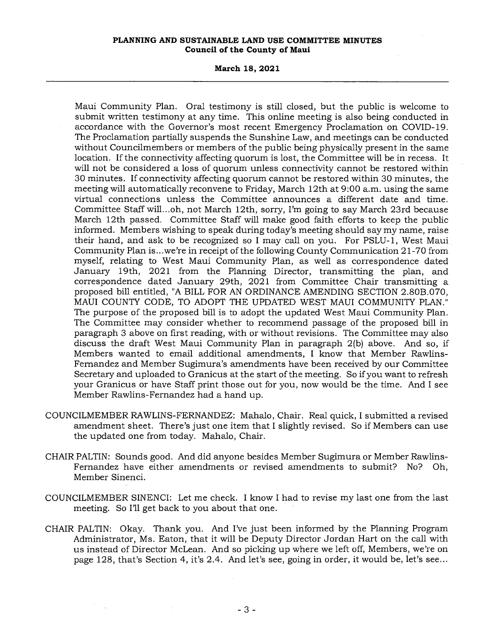### **March 18, 2021**

Maui Community Plan. Oral testimony is still closed, but the public is welcome to submit written testimony at any time. This online meeting is also being conducted in accordance with the Governor's most recent Emergency Proclamation on COVID-19. The Proclamation partially suspends the Sunshine Law, and meetings can be conducted without Councilmembers or members of the public being physically present in the same location. If the connectivity affecting quorum is lost, the Committee will be in recess. It will not be considered a loss of quorum unless connectivity cannot be restored within 30 minutes. If connectivity affecting quorum cannot be restored within 30 minutes, the meeting will automatically reconvene to Friday, March 12th at 9:00 a.m. using the same virtual connections unless the Committee announces a different date and time. Committee Staff will...oh, not March 12th, sorry, I'm going to say March 23rd because March 12th passed. Committee Staff will make good faith efforts to keep the public informed. Members wishing to speak during today's meeting should say my name, raise their hand, and ask to be recognized so I may call on you. For PSLU-1, West Maui Community Plan is...we're in receipt of the following County Communication 21-70 from myself, relating to West Maui Community Plan, as well as correspondence dated January 19th, 2021 from the Planning Director, transmitting the plan, and correspondence dated January 29th, 2021 from Committee Chair transmitting a proposed bill entitled, "A BILL FOR AN ORDINANCE AMENDING SECTION 2.80B.070, MAUI COUNTY CODE, TO ADOPT THE UPDATED WEST MAUI COMMUNITY PLAN." The purpose of the proposed bill is to adopt the updated West Maui Community Plan. The Committee may consider whether to recommend passage of the proposed bill in paragraph 3 above on first reading, with or without revisions. The Committee may also discuss the draft West Maui Community Plan in paragraph 2(b) above. And so, if Members wanted to email additional amendments, I know that Member Rawlins-Fernandez and Member Sugimura's amendments have been received by our Committee Secretary and uploaded to Granicus at the start of the meeting. So if you want to refresh your Granicus or have Staff print those out for you, now would be the time. And I see Member Rawlins-Fernandez had a hand up.

- COUNCILMEMBER RAWLINS-FERNANDEZ: Mahalo, Chair. Real quick, I submitted a revised amendment sheet. There's just one item that I slightly revised. So if Members can use the updated one from today. Mahalo, Chair.
- CHAIR PALTIN: Sounds good. And did anyone besides Member Sugimura or Member Rawlins-Fernandez have either amendments or revised amendments to submit? No? Oh, Member Sinenci.
- COUNCILMEMBER SINENCI: Let me check. I know I had to revise my last one from the last meeting. So I'll get back to you about that one.
- CHAIR PALTIN: Okay. Thank you. And I've just been informed by the Planning Program Administrator, Ms. Eaton, that it will be Deputy Director Jordan Hart on the call with us instead of Director McLean. And so picking up where we left off, Members, we're on page 128, that's Section 4, it's 2.4. And let's see, going in order, it would be, let's see...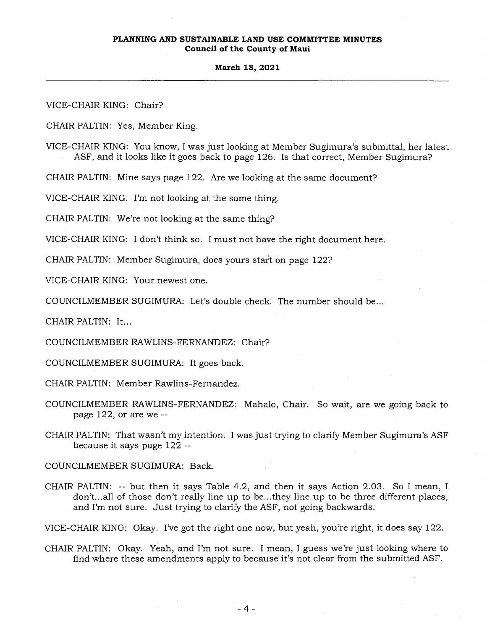#### **March 18, 2021**

VICE-CHAIR KING: Chair? CHAIR PALTIN: Yes, Member King. VICE-CHAIR KING: You know, I was just looking at Member Sugimura's submittal, her latest ASF, and it looks like it goes back to page 126. Is that correct, Member Sugimura? CHAIR PALTIN: Mine says page 122. Are we looking at the same document? VICE-CHAIR KING: I'm not looking at the same thing. CHAIR PALTIN: We're not looking at the same thing? VICE-CHAIR KING: I don't think so. I must not have the right document here. CHAIR PALTIN: Member Sugimura, does yours start on page 122? VICE-CHAIR KING: Your newest one. COUNCILMEMBER SUGIMURA: Let's double check. The number should be... CHAIR PALTIN: It... COUNCILMEMBER RAWLINS-FERNANDEZ: Chair? COUNCILMEMBER SUGIMURA: It goes back. CHAIR PALTIN: Member Rawlins-Fernandez. COUNCILMEMBER RAWLINS-FERNANDEZ: Mahalo, Chair. So wait, are we going back to page 122, or are we -- CHAIR PALTIN: That wasn't my intention. I was just trying to clarify Member Sugimura's ASF because it says page 122 -- COUNCILMEMBER SUGIMURA: Back. CHAIR PALTIN: -- but then it says Table 4.2, and then it says Action 2.03. So I mean, I don't...all of those don't really line up to be...they line up to be three different places, and I'm not sure. Just trying to clarify the ASF, not going backwards.

VICE-CHAIR KING: Okay. I've got the right one now, but yeah, you're right, it does say 122.

CHAIR PALTIN: Okay. Yeah, and I'm not sure. I mean, I guess we're just looking where to find where these amendments apply to because it's not clear from the submitted ASF.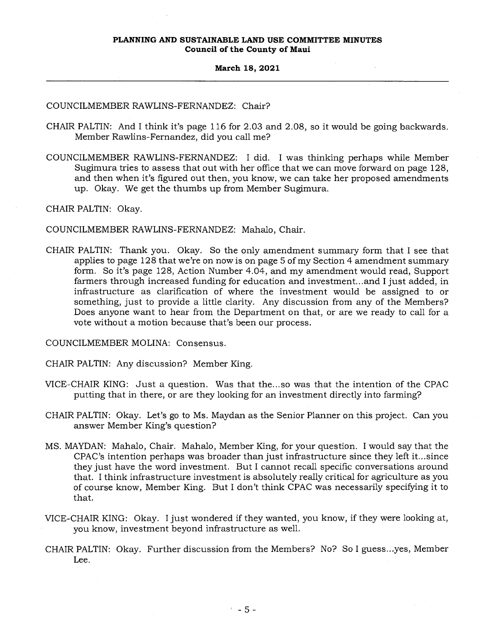### **March 18, 2021**

# COUNCILMEMBER RAWLINS-FERNANDEZ: Chair?

- CHAIR PALTIN: And I think it's page 116 for 2.03 and 2.08, so it would be going backwards. Member Rawlins-Fernandez, did you call me?
- COUNCILMEMBER RAWLINS-FERNANDEZ: I did. I was thinking perhaps while Member Sugimura tries to assess that out with her office that we can move forward on page 128, and then when it's figured out then, you know, we can take her proposed amendments up. Okay. We get the thumbs up from Member Sugimura.

CHAIR PALTIN: Okay.

COUNCILMEMBER RAWLINS-FERNANDEZ: Mahalo, Chair.

CHAIR PALTIN: Thank you. Okay. So the only amendment summary form that I see that applies to page 128 that we're on now is on page 5 of my Section 4 amendment summary form. So it's page 128, Action Number 4.04, and my amendment would read, Support farmers through increased funding for education and investment...and I just added, in infrastructure as clarification of where the investment would be assigned to or something, just to provide a little clarity. Any discussion from any of the Members? Does anyone want to hear from the Department on that, or are we ready to call for a vote without a motion because that's been our process.

COUNCILMEMBER MOLINA: Consensus.

CHAIR PALTIN: Any discussion? Member King.

- VICE-CHAIR KING: Just a question. Was that the...so was that the intention of the CPAC putting that in there, or are they looking for an investment directly into farming?
- CHAIR PALTIN: Okay. Let's go to Ms. Maydan as the Senior Planner on this project. Can you answer Member King's question?
- MS. MAYDAN: Mahalo, Chair. Mahalo, Member King, for your question. I would say that the CPAC's intention perhaps was broader than just infrastructure since they left it...since they just have the word investment. But I cannot recall specific conversations around that. I think infrastructure investment is absolutely really critical for agriculture as you of course know, Member King. But I don't think CPAC was necessarily specifying it to that.
- VICE-CHAIR KING: Okay. I just wondered if they wanted, you know, if they were looking at, you know, investment beyond infrastructure as well.
- CHAIR PALTIN: Okay. Further discussion from the Members? No? So I guess...yes, Member Lee.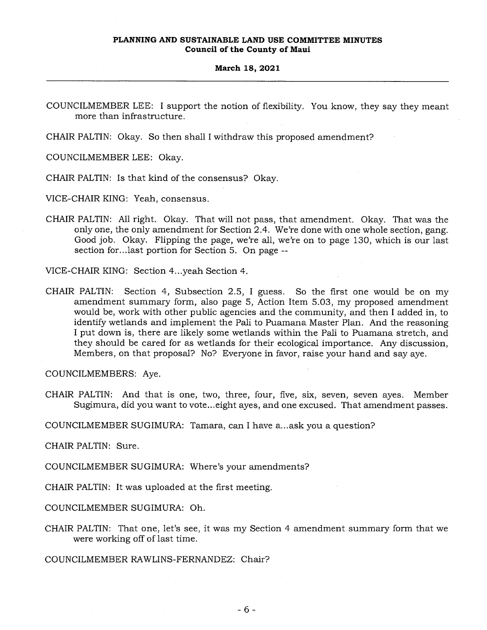#### **March 18, 2021**

COUNCILMEMBER LEE: I support the notion of flexibility. You know, they say they meant more than infrastructure.

CHAIR PALTIN: Okay. So then shall I withdraw this proposed amendment?

COUNCILMEMBER LEE: Okay.

CHAIR PALTIN: Is that kind of the consensus? Okay.

VICE-CHAIR KING: Yeah, consensus.

CHAIR PALTIN: All right. Okay. That will not pass, that amendment. Okay. That was the only one, the only amendment for Section 2.4. We're done with one whole section, gang. Good job. Okay. Flipping the page, we're all, we're on to page 130, which is our last section for...last portion for Section 5. On page --

VICE-CHAIR KING: Section 4...yeah Section 4.

CHAIR PALTIN: Section 4, Subsection 2.5, I guess. So the first one would be on my amendment summary form, also page 5, Action Item 5.03, my proposed amendment would be, work with other public agencies and the community, and then I added in, to identify wetlands and implement the Pali to Puamana Master Plan. And the reasoning I put down is, there are likely some wetlands within the Pali to Puamana stretch, and they should be cared for as wetlands for their ecological importance. Any discussion, Members, on that proposal? No? Everyone in favor, raise your hand and say aye.

COUNCILMEMBERS: Aye.

CHAIR PALTIN: And that is one, two, three, four, five, six, seven, seven ayes. Member Sugimura, did you want to vote...eight ayes, and one excused. That amendment passes.

COUNCILMEMBER SUGIMURA: Tamara, can I have a...ask you a question?

CHAIR PALTIN: Sure.

COUNCILMEMBER SUGIMURA: Where's your amendments?

CHAIR PALTIN: It was uploaded at the first meeting.

COUNCILMEMBER SUGIMURA: Oh.

CHAIR PALTIN: That one, let's see, it was my Section 4 amendment summary form that we were working off of last time.

COUNCILMEMBER RAWLINS-FERNANDEZ: Chair?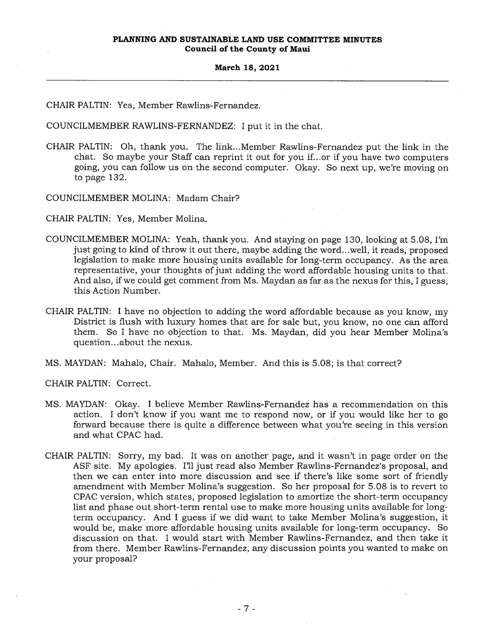#### **March 18, 2021**

CHAIR PALTIN: Yes, Member Rawlins-Fernandez.

COUNCILMEMBER RAWLINS-FERNANDEZ: I put it in the chat.

- CHAIR PALTIN: Oh, thank you. The link...Member Rawlins-Fernandez put the link in the chat. So maybe your Staff can reprint it out for you if...or if you have two computers going, you can follow us on the second computer. Okay. So next up, we're moving on to page 132.
- COUNCILMEMBER MOLINA: Madam Chair?

CHAIR PALTIN: Yes, Member Molina.

- COUNCILMEMBER MOLINA: Yeah, thank you. And staying on page 130, looking at 5.08, I'm just going to kind of throw it out there, maybe adding the word...well, it reads, proposed legislation to make more housing units available for long-term occupancy. As the area representative, your thoughts of just adding the word affordable housing units to that. And also, if we could get comment from Ms. Maydan as far as the nexus for this, I guess, this Action Number.
- CHAIR PALTIN: I have no objection to adding the word affordable because as you know, my District is flush with luxury homes that are for sale but, you know, no one can afford them. So I have no objection to that. Ms. Maydan, did you hear Member Molina's question...about the nexus.

MS. MAYDAN: Mahalo, Chair. Mahalo, Member. And this is 5.08; is that correct?

CHAIR PALTIN: Correct.

- MS. MAYDAN: Okay. I believe Member Rawlins-Fernandez has a recommendation on this action. I don't know if you want me to respond now, or if you would like her to go forward because there is quite a difference between what you're seeing in this version and what CPAC had.
- CHAIR PALTIN: Sorry, my bad. It was on another page, and it wasn't in page order on the ASF site. My apologies. I'll just read also Member Rawlins-Fernandez's proposal, and then we can enter into more discussion and see if there's like some sort of friendly amendment with Member Molina's suggestion. So her proposal for 5.08 is to revert to CPAC version, which states, proposed legislation to amortize the short-term occupancy list and phase out short-term rental use to make more housing units available for longterm occupancy. And I guess if we did want to take Member Molina's suggestion, it would be, make more affordable housing units available for long-term occupancy. So discussion on that. I would start with Member Rawlins-Fernandez, and then take it from there. Member Rawlins-Fernandez, any discussion points you wanted to make on your proposal?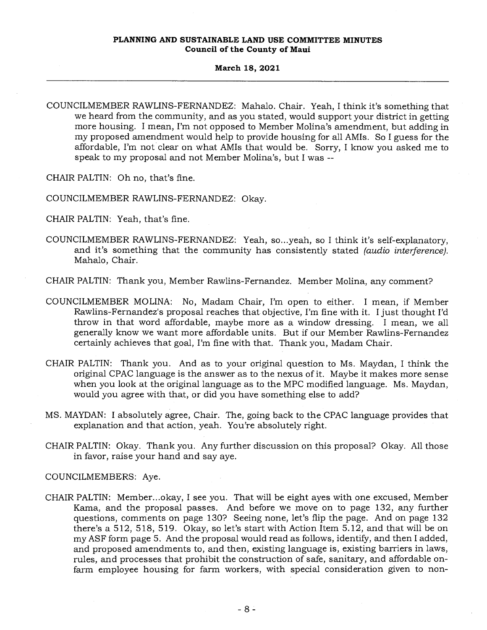### **March 18, 2021**

COUNCILMEMBER RAWLINS-FERNANDEZ: Mahalo. Chair. Yeah, I think it's something that we heard from the community, and as you stated, would support your district in getting more housing. I mean, I'm not opposed to Member Molina's amendment, but adding in my proposed amendment would help to provide housing for all AMIs. So I guess for the affordable, I'm not clear on what AMIs that would be. Sorry, I know you asked me to speak to my proposal and not Member Molina's, but I was --

CHAIR PALTIN: Oh no, that's fine.

- COUNCILMEMBER RAWLINS-FERNANDEZ: Okay.
- CHAIR PALTIN: Yeah, that's fine.
- COUNCILMEMBER RAWLINS-FERNANDEZ: Yeah, so...yeah, so I think it's self-explanatory, and it's something that the community has consistently stated *(audio interference).*  Mahalo, Chair.
- CHAIR PALTIN: Thank you, Member Rawlins-Fernandez. Member Molina, any comment?
- COUNCILMEMBER MOLINA: No, Madam Chair, I'm open to either. I mean, if Member Rawlins-Fernandez's proposal reaches that objective, I'm fine with it. I just thought I'd throw in that word affordable, maybe more as a window dressing. I mean, we all generally know we want more affordable units. But if our Member Rawlins-Fernandez certainly achieves that goal, I'm fine with that. Thank you, Madam Chair.
- CHAIR PALTIN: Thank you. And as to your original question to Ms. Maydan, I think the original CPAC language is the answer as to the nexus of it. Maybe it makes more sense when you look at the original language as to the MPC modified language. Ms. Maydan, would you agree with that, or did you have something else to add?
- MS. MAYDAN: I absolutely agree, Chair. The, going back to the CPAC language provides that explanation and that action, yeah. You're absolutely right.
- CHAIR PALTIN: Okay. Thank you. Any further discussion on this proposal? Okay. All those in favor, raise your hand and say aye.

COUNCILMEMBERS: Aye.

CHAIR PALTIN: Member...okay, I see you. That will be eight ayes with one excused, Member Kama, and the proposal passes. And before we move on to page 132, any further questions, comments on page 130? Seeing none, let's flip the page. And on page 132 there's a 512, 518, 519. Okay, so let's start with Action. Item 5.12, and that will be on my ASF form page 5. And the proposal would read as follows, identify, and then I added, and proposed amendments to, and then, existing language is, existing barriers in laws, rules, and processes that prohibit the construction of safe, sanitary, and affordable onfarm employee housing for farm workers, with special consideration given to non-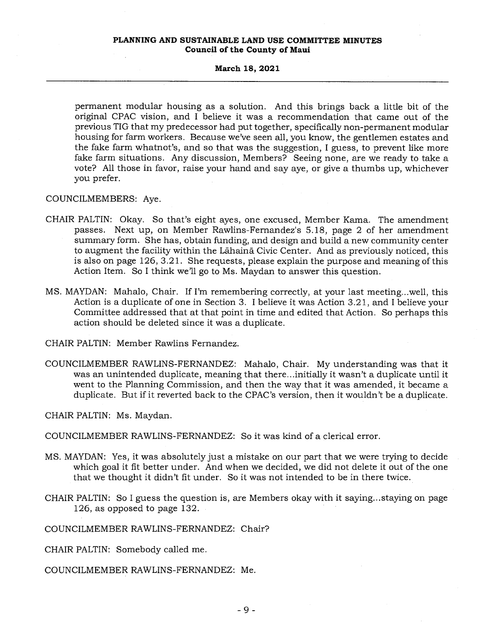### **March 18, 2021**

permanent modular housing as a solution. And this brings back a little bit of the original CPAC vision, and I believe it was a recommendation that came out of the previous TIG that my predecessor had put together, specifically non-permanent modular housing for farm workers. Because we've seen all, you know, the gentlemen estates and the fake farm whatnot's, and so that was the suggestion, I guess, to prevent like more fake farm situations. Any discussion, Members? Seeing none, are we ready to take a vote? All those in favor, raise your hand and say aye, or give a thumbs up, whichever you prefer.

COUNCILMEMBERS: Aye.

- CHAIR PALTIN: Okay. So that's eight ayes, one excused, Member Kama. The amendment passes. Next up, on Member Rawlins-Fernandez's 5.18, page 2 of her amendment summary form. She has, obtain funding, and design and build a new community center to augment the facility within the Lahaina Civic Center. And as previously noticed, this is also on page 126, 3.21. She requests, please explain the purpose and meaning of this Action Item. So I think we'll go to Ms. Maydan to answer this question.
- MS. MAYDAN: Mahalo, Chair. If I'm remembering correctly, at your last meeting...well, this Action is a duplicate of one in Section 3. I believe it was Action 3.21, and I believe your Committee addressed that at that point in time and edited that Action. So perhaps this action should be deleted since it was a duplicate.

CHAIR PALTIN: Member Rawlins Fernandez.

COUNCILMEMBER RAWLINS-FERNANDEZ: Mahalo, Chair. My understanding was that it was an unintended duplicate, meaning that there...initially it wasn't a duplicate until it went to the Planning Commission, and then the way that it was amended, it became a duplicate. But if it reverted back to the CPAC's version, then it wouldn't be a duplicate.

CHAIR PALTIN: Ms. Maydan.

COUNCILMEMBER RAWLINS-FERNANDEZ: So it was kind of a clerical error.

- MS. MAYDAN: Yes, it was absolutely just a mistake on our part that we were trying to decide which goal it fit better under. And when we decided, we did not delete it out of the one that we thought it didn't fit under. So it was not intended to be in there twice.
- CHAIR PALTIN: So I guess the question is, are Members okay with it saying...staying on page 126, as opposed to page 132.

COUNCILMEMBER RAWLINS-FERNANDEZ: Chair?

CHAIR PALTIN: Somebody called me.

COUNCILMEMBER RAWLINS-FERNANDEZ: Me.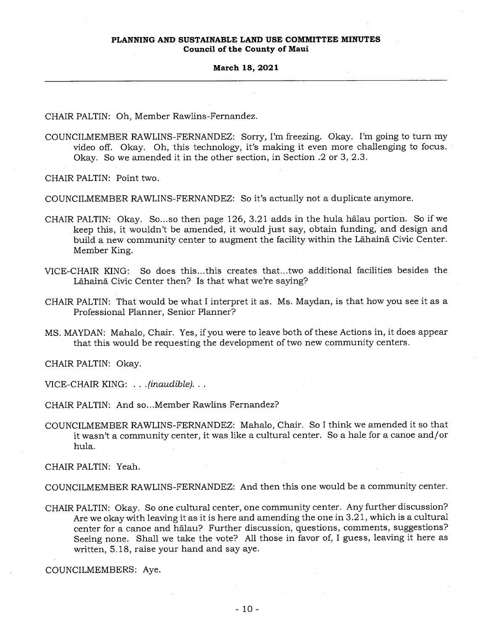CHAIR PALTIN: Oh, Member Rawlins-Fernandez.

COUNCILMEMBER RAWLINS-FERNANDEZ: Sorry, I'm freezing. Okay. I'm going to turn my video off. Okay. Oh, this technology, it's making it even more challenging to focus. Okay. So we amended it in the other section, in Section .2 or 3, 2.3.

CHAIR PALTIN: Point two.

COUNCILMEMBER RAWLINS-FERNANDEZ: So it's actually not a duplicate anymore.

- CHAIR PALTIN: Okay. So...so then page  $126, 3.21$  adds in the hula halau portion. So if we keep this, it wouldn't be amended, it would just say, obtain funding, and design and build a new community center to augment the facility within the Lahaina Civic Center. Member King.
- VICE-CHAIR KING: So does this...this creates that...two additional facilities besides the Lāhainā Civic Center then? Is that what we're saying?
- CHAIR PALTIN: That would be what I interpret it as. Ms. Maydan, is that how you see it as a Professional Planner, Senior Planner?
- MS. MAYDAN: Mahalo, Chair. Yes, if you were to leave both of these Actions in, it does appear that this would be requesting the development of two new community centers.

CHAIR PALTIN: Okay.

VICE-CHAIR KING: . . *. (inaudible).. .* 

- CHAIR PALTIN: And so...Member Rawlins Fernandez?
- COUNCILMEMBER RAWLINS-FERNANDEZ: Mahalo, Chair. So I think we amended it so that it wasn't a community center, it was like a cultural center. So a hale for a canoe and/or hula.

CHAIR PALTIN: Yeah.

COUNCILMEMBER RAWLINS-FERNANDEZ: And then this one would be a community center.

CHAIR PALTIN: Okay. So one cultural center, one community center. Any further discussion? Are we okay with leaving it as it is here and amending the one in 3.21, which is a cultural center for a canoe and halau? Further discussion, questions, comments, suggestions? Seeing none. Shall we take the vote? All those in favor of, I guess, leaving it here as written, 5.18, raise your hand and say aye.

COUNCILMEMBERS: Aye.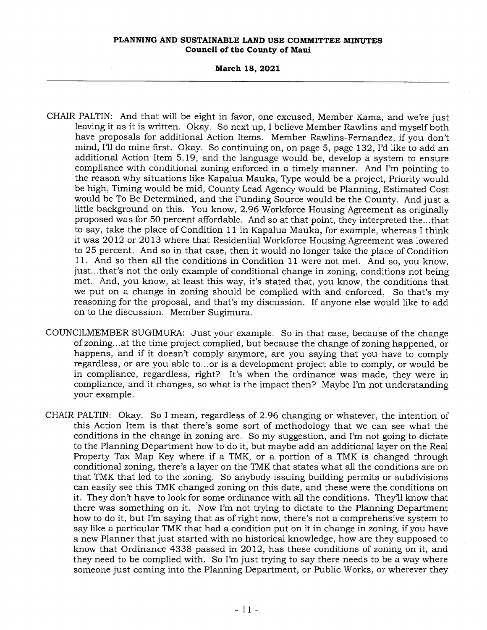### **March 18, 2021**

- CHAIR PALTIN: And that will be eight in favor, one excused, Member Kama, and we're just leaving it as it is written. Okay. So next up, I believe Member Rawlins and myself both have proposals for additional Action Items. Member Rawlins-Fernandez, if you don't mind, I'll do mine first. Okay. So continuing on, on page 5, page 132, I'd like to add an additional Action Item 5.19, and the language would be, develop a system to ensure compliance with conditional zoning enforced in a timely manner. And I'm pointing to the reason why situations like Kapalua Mauka, Type would be a project, Priority would be high, Timing would be mid, County Lead Agency would be Planning, Estimated Cost would be To Be Determined, and the Funding Source would be the County. And just a little background on this. You know, 2.96 Workforce Housing Agreement as originally proposed was for 50 percent affordable. And so at that point, they interpreted the...that to say, take the place of Condition 11 in Kapalua Mauka, for example, whereas I think it was 2012 or 2013 where that Residential Workforce Housing Agreement was lowered to 25 percent. And so in that case, then it would no longer take the place of Condition 11. And so then all the conditions in Condition 11 were not met. And so, you know, just...that's not the only example of conditional change in zoning, conditions not being met. And, you know, at least this way, it's stated that, you know, the conditions that we put on a change in zoning should be complied with and enforced. So that's my reasoning for the proposal, and that's my discussion. If anyone else would like to add on to the discussion. Member Sugimura.
- COUNCILMEMBER SUGIMURA: Just your example. So in that case, because of the change of zoning...at the time project complied, but because the change of zoning happened, or happens, and if it doesn't comply anymore, are you saying that you have to comply regardless, or are you able to...or is a development project able to comply, or would be in compliance, regardless, right? It's when the ordinance was made, they were in compliance, and it changes, so what is the impact then? Maybe I'm not understanding your example.
- CHAIR PALTIN: Okay. So I mean, regardless of 2.96 changing or whatever, the intention of this Action Item is that there's some sort of methodology that we can see what the conditions in the change in zoning are. So my suggestion, and I'm not going to dictate to the Planning Department how to do it, but maybe add an additional layer on the Real Property Tax Map Key where if a TMK, or a portion of a TMK is changed through conditional zoning, there's a layer on the TMK that states what all the conditions are on that TMK that led to the zoning. So anybody issuing building permits or subdivisions can easily see this TMK changed zoning on this date, and these were the conditions on it. They don't have to look for some ordinance with all the conditions. They'll know that there was something on it. Now I'm not trying to dictate to the Planning Department how to do it, but I'm saying that as of right now, there's not a comprehensive system to say like a particular TMK that had a condition put on it in change in zoning, if you have a new Planner that just started with no historical knowledge, how are they supposed to know that Ordinance 4338 passed in 2012, has these conditions of zoning on it, and they need to be complied with. So I'm just trying to say there needs to be a way where someone just coming into the Planning Department, or Public Works, or wherever they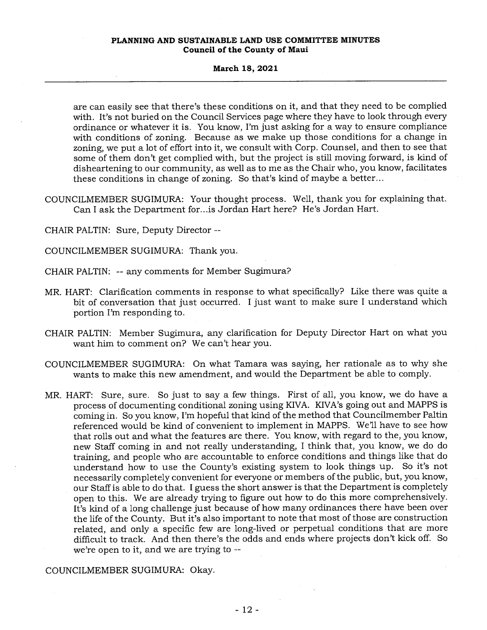### **March 18, 2021**

are can easily see that there's these conditions on it, and that they need to be complied with. It's not buried on the Council Services page where they have to look through every ordinance or whatever it is. You know, I'm just asking for a way to ensure compliance with conditions of zoning. Because as we make up those conditions for a change in zoning, we put a lot of effort into it, we consult with Corp. Counsel, and then to see that some of them don't get complied with, but the project is still moving forward, is kind of disheartening to our community, as well as to me as the Chair who, you know, facilitates these conditions in change of zoning. So that's kind of maybe a better...

COUNCILMEMBER SUGIMURA: Your thought process. Well, thank you for explaining that. Can I ask the Department for...is Jordan Hart here? He's Jordan Hart.

CHAIR PALTIN: Sure, Deputy Director --

COUNCILMEMBER SUGIMURA: Thank you.

CHAIR PALTIN: -- any comments for Member Sugimura?

- MR. HART: Clarification comments in response to what specifically? Like there was quite a bit of conversation that just occurred. I just want to make sure I understand which portion I'm responding to.
- CHAIR PALTIN: Member Sugimura, any clarification for Deputy Director Hart on what you want him to comment on? We can't hear you.
- COUNCILMEMBER SUGIMURA: On what Tamara was saying, her rationale as to why she wants to make this new amendment, and would the Department be able to comply.
- MR. HART: Sure, sure. So just to say a few things. First of all, you know, we do have a process of documenting conditional zoning using KIVA. KIVA's going out and MAPPS is coming in. So you know, I'm hopeful that kind of the method that Councilmember Paltin referenced would be kind of convenient to implement in MAPPS. We'll have to see how that rolls out and what the features are there. You know, with regard to the, you know, new Staff coming in and not really understanding, I think that, you know, we do do training, and people who are accountable to enforce conditions and things like that do understand how to use the County's existing system to look things up. So it's not necessarily completely convenient for everyone or members of the public, but, you know, our Staff is able to do that. I guess the short answer is that the Department is completely open to this. We are already trying to figure out how to do this more comprehensively. It's kind of a long challenge just because of how many ordinances there have been over the life of the County. But it's also important to note that most of those are construction related, and only a specific few are long-lived or perpetual conditions that are more difficult to track. And then there's the odds and ends where projects don't kick off. So we're open to it, and we are trying to --

# COUNCILMEMBER SUGIMURA: Okay.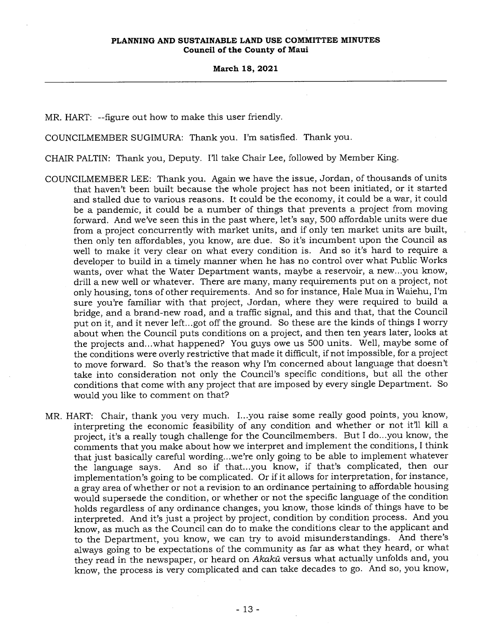MR. HART: --figure out how to make this user friendly.

COUNCILMEMBER SUGIMURA: Thank you. I'm satisfied. Thank you.

CHAIR PALTIN: Thank you, Deputy. I'll take Chair Lee, followed by Member King.

- COUNCILMEMBER LEE: Thank you. Again we have the issue, Jordan, of thousands of units that haven't been built because the whole project has not been initiated, or it started and stalled due to various reasons. It could be the economy, it could be a war, it could be a pandemic, it could be a number of things that prevents a project from moving forward. And we've seen this in the past where, let's say, 500 affordable units were due from a project concurrently with market units, and if only ten market units are built, then only ten affordables, you know, are due. So it's incumbent upon the Council as well to make it very clear on what every condition is. And so it's hard to require a developer to build in a timely manner when he has no control over what Public Works wants, over what the Water Department wants, maybe a reservoir, a new...you know, drill a new well or whatever. There are many, many requirements put on a project, not only housing, tons of other requirements. And so for instance, Hale Mua in Waiehu, I'm sure you're familiar with that project, Jordan, where they were required to build a bridge, and a brand-new road, and a traffic signal, and this and that, that the Council put on it, and it never left...got off the ground. So these are the kinds of things I worry about when the Council puts conditions on a project, and then ten years later, looks at the projects and...what happened? You guys owe us 500 units. Well, maybe some of the conditions were overly restrictive that made it difficult, if not impossible, for a project to move forward. So that's the reason why I'm concerned about language that doesn't take into consideration not only the Council's specific conditions, but all the other conditions that come with any project that are imposed by every single Department. So would you like to comment on that?
- MR. HART: Chair, thank you very much. I...you raise some really good points, you know, interpreting the economic feasibility of any condition and whether or not it'll kill a project, it's a really tough challenge for the Councilmembers. But I do...you know, the comments that you make about how we interpret and implement the conditions, I think that just basically careful wording...we're only going to be able to implement whatever the language says. And so if that...you know, if that's complicated, then our implementation's going to be complicated. Or if it allows for interpretation, for instance, a gray area of whether or not a revision to an ordinance pertaining to affordable housing would supersede the condition, or whether or not the specific language of the condition holds regardless of any ordinance changes, you know, those kinds of things have to be interpreted. And it's just a project by project, condition by condition process. And you know, as much as the Council can do to make the conditions clear to the applicant and to the Department, you know, we can try to avoid misunderstandings. And there's always going to be expectations of the community as far as what they heard, or what they read in the newspaper, or heard on Akaka versus what actually unfolds and, you know, the process is very complicated and can take decades to go. And so, you know,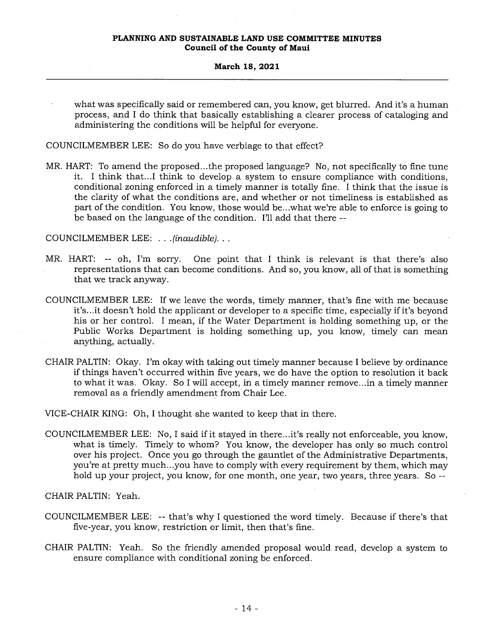### **March 18, 2021**

what was specifically said or remembered can, you know, get blurred. And it's a human process, and I do think that basically establishing a clearer process of cataloging and administering the conditions will be helpful for everyone.

COUNCILMEMBER LEE: So do you have verbiage to that effect?

MR. HART: To amend the proposed...the proposed language? No, not specifically to fine tune it. I think that...I think to develop a system to ensure compliance with conditions, conditional zoning enforced in a timely manner is totally fine. I think that the issue is the clarity of what the conditions are, and whether or not timeliness is established as part of the condition. You know, those would be...what we're able to enforce is going to be based on the language of the condition. I'll add that there --

COUNCILMEMBER LEE: . . *.(inaudible). . .* 

- MR. HART: -- oh, I'm sorry. One point that I think is relevant is that there's also representations that can become conditions. And so, you know, all of that is something that we track anyway.
- COUNCILMEMBER LEE: If we leave the words, timely manner, that's fine with me because it's...it doesn't hold the applicant or developer to a specific time, especially if it's beyond his or her control. I mean, if the Water Department is holding something up, or the Public Works Department is holding something up, you know, timely can mean anything, actually.
- CHAIR PALTIN: Okay. I'm okay with taking out timely manner because I believe by ordinance if things haven't occurred within five years, we do have the option to resolution it back to what it was. Okay. So I will accept, in a timely manner remove...in a timely manner removal as a friendly amendment from Chair Lee.

VICE-CHAIR KING: Oh, I thought she wanted to keep that in there.

COUNCILMEMBER LEE: No, I said if it stayed in there...it's really not enforceable, you know, what is timely. Timely to whom? You know, the developer has only so much control over his project. Once you go through the gauntlet of the Administrative Departments, you're at pretty much...you have to comply with every requirement by them, which may hold up your project, you know, for one month, one year, two years, three years. So --

CHAIR PALTIN: Yeah.

- COUNCILMEMBER LEE: -- that's why I questioned the word timely. Because if there's that five-year, you know, restriction or limit, then that's fine.
- CHAIR PALTIN: Yeah. So the friendly amended proposal would read, develop a system to ensure compliance with conditional zoning be enforced.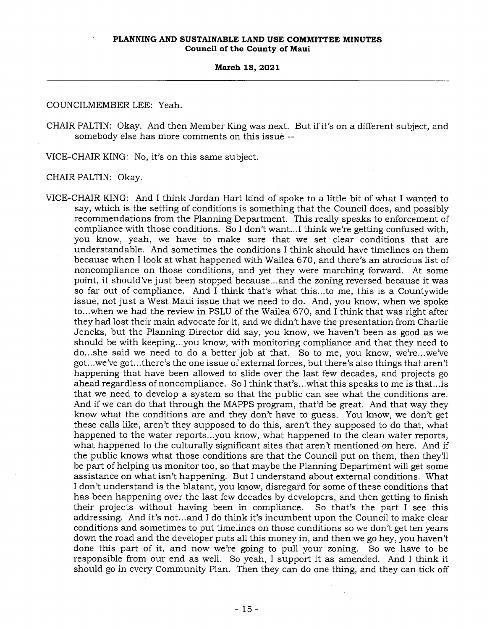COUNCILMEMBER LEE: Yeah

CHAIR PALTIN: Okay. And then Member King was next. But if it's on a different subject, and somebody else has more comments on this issue --

VICE-CHAIR KING: No, it's on this same subject.

CHAIR PALTIN: Okay.

VICE-CHAIR KING: And I think Jordan Hart kind of spoke to a little bit of what I wanted to say, which is the setting of conditions is something that the Council does, and possibly recommendations from the Planning Department. This really speaks to enforcement of compliance with those conditions. So I don't want...I think we're getting confused with, you know, yeah, we have to make sure that we set clear conditions that are understandable. And sometimes the conditions I think should have timelines on them because when I look at what happened with Wailea 670, and there's an atrocious list of noncompliance on those conditions, and yet they were marching forward. At some point, it should've just been stopped because...and the zoning reversed because it was so far out of compliance. And I think that's what this...to me, this is a Countywide issue, not just a West Maui issue that we need to do. And, you know, when we spoke to...when we had the review in PSLU of the Wailea 670, and I think that was right after they had lost their main advocate for it, and we didn't have the presentation from Charlie Jencks, but the Planning Director did say, you know, we haven't been as good as we should be with keeping...you know, with monitoring compliance and that they need to do...she said we need to do a better job at that. So to me, you know, we're...we've got...we've got...there's the one issue of external forces, but there's also things that aren't happening that have been allowed to slide over the last few decades, and projects go ahead regardless of noncompliance. So I think that's...what this speaks to me is that...is that we need to develop a system so that the public can see what the conditions are. And if we can do that through the MAPPS program, that'd be great. And that way they know what the conditions are and they don't have to guess. You know, we don't get these calls like, aren't they supposed to do this, aren't they supposed to do that, what happened to the water reports...you know, what happened to the clean water reports, what happened to the culturally significant sites that aren't mentioned on here. And if the public knows what those conditions are that the Council put on them, then they'll be part of helping us monitor too, so that maybe the Planning Department will get some assistance on what isn't happening. But I understand about external conditions. What I don't understand is the blatant, you know, disregard for some of these conditions that has been happening over the last few decades by developers, and then getting to finish their projects without having been in compliance. So that's the part I see this addressing. And it's not...and I do think it's incumbent upon the Council to make clear conditions and sometimes to put timelines on those conditions so we don't get ten years down the road and the developer puts all this money in, and then we go hey, you haven't done this part of it, and now we're going to pull your zoning. So we have to be responsible from our end as well. So yeah, I support it as amended. And I think it should go in every Community Plan. Then they can do one thing, and they can tick off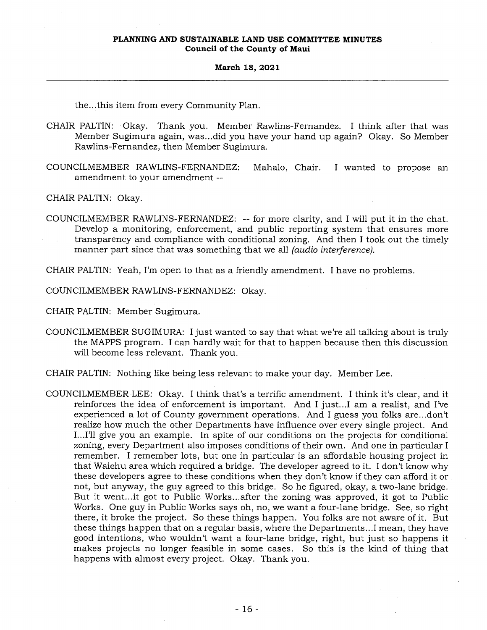the...this item from every Community Plan.

- CHAIR PALTIN: Okay. Thank you. Member Rawlins-Fernandez. I think after that was Member Sugimura again, was...did you have your hand up again? Okay. So Member Rawlins-Fernandez, then Member Sugimura.
- COUNCILMEMBER RAWLINS-FERNANDEZ: Mahalo, Chair. I wanted to propose an amendment to your amendment --

CHAIR PALTIN: Okay.

COUNCILMEMBER RAWLINS-FERNANDEZ: -- for more clarity, and I will put it in the chat. Develop a monitoring, enforcement, and public reporting system that ensures more transparency and compliance with conditional zoning. And then I took out the timely manner part since that was something that we all *(audio interference).* 

CHAIR PALTIN: Yeah, I'm open to that as a friendly amendment. I have no problems.

COUNCILMEMBER RAWLINS-FERNANDEZ: Okay.

CHAIR PALTIN: Member Sugimura.

COUNCILMEMBER SUGIMURA: I just wanted to say that what we're all talking about is truly the MAPPS program. I can hardly wait for that to happen because then this discussion will become less relevant. Thank you.

CHAIR PALTIN: Nothing like being less relevant to make your day. Member Lee.

COUNCILMEMBER LEE: Okay. I think that's a terrific amendment. I think it's clear, and it reinforces the idea of enforcement is important. And I just...I am a realist, and I've experienced a lot of County government operations. And I guess you folks are...don't realize how much the other Departments have influence over every single project. And I...I'll give you an example. In spite of our conditions on the projects for conditional zoning, every Department also imposes conditions of their own. And one in particular I remember. I remember lots, but one in particular is an affordable housing project in that Waiehu area which required a bridge. The developer agreed to it. I don't know why these developers agree to these conditions when they don't know if they can afford it or not, but anyway, the guy agreed to this bridge. So he figured, okay, a two-lane bridge. But it went...it got to Public Works...after the zoning was approved, it got to Public Works. One guy in Public Works says oh, no, we want a four-lane bridge. See, so right there, it broke the project. So these things happen. You folks are not aware of it. But these things happen that on a regular basis, where the Departments...I mean, they have good intentions, who wouldn't want a four-lane bridge, right, but just so happens it makes projects no longer feasible in some cases. So this is the kind of thing that happens with almost every project. Okay. Thank you.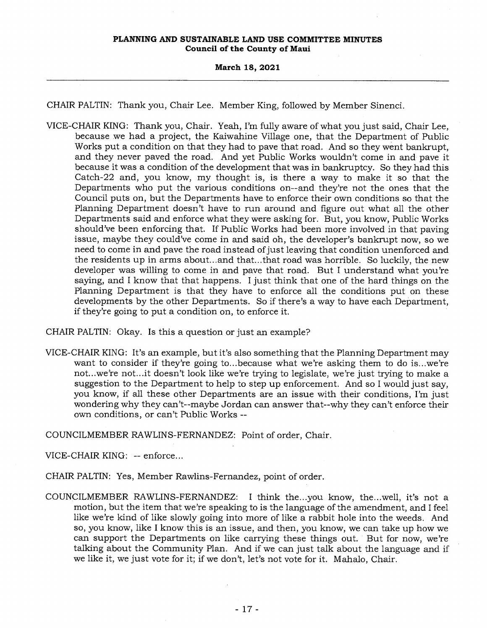### **March 18, 2021**

CHAIR PALTIN: Thank you, Chair Lee. Member King, followed by Member Sinenci.

VICE-CHAIR KING: Thank you, Chair. Yeah, I'm fully aware of what you just said, Chair Lee, because we had a project, the Kaiwahine Village one, that the Department of Public Works put a condition on that they had to pave that road. And so they went bankrupt, and they never paved the road. And yet Public Works wouldn't come in and pave it because it was a condition of the development that was in bankruptcy. So they had this Catch-22 and, you know, my thought is, is there a way to make it so that the Departments who put the various conditions on--and they're not the ones that the Council puts on, but the Departments have to enforce their own conditions so that the Planning Department doesn't have to run around and figure out what all the other Departments said and enforce what they were asking for. But, you know, Public Works should've been enforcing that. If Public Works had been more involved in that paving issue, maybe they could've come in and said oh, the developer's bankrupt now, so we need to come in and pave the road instead of just leaving that condition unenforced and the residents up in arms about...and that...that road was horrible. So luckily, the new developer was willing to come in and pave that road. But I understand what you're saying, and I know that that happens. I just think that one of the hard things on the Planning Department is that they have to enforce all the conditions put on these developments by the other Departments. So if there's a way to have each Department, if they're going to put a condition on, to enforce it.

CHAIR PALTIN: Okay. Is this a question or just an example?

VICE-CHAIR KING: It's an example, but it's also something that the Planning Department may want to consider if they're going to...because what we're asking them to do is...we're not...we're not...it doesn't look like we're trying to legislate, we're just trying to make a suggestion to the Department to help to step up enforcement. And so I would just say, you know, if all these other Departments are an issue with their conditions, I'm just wondering why they can't--maybe Jordan can answer that--why they can't enforce their own conditions, or can't Public Works --

COUNCILMEMBER RAWLINS-FERNANDEZ: Point of order, Chair.

VICE-CHAIR KING: -- enforce...

- CHAIR PALTIN: Yes, Member Rawlins-Fernandez, point of order.
- COUNCILMEMBER RAWLINS-FERNANDEZ: I think the...you know, the...well, it's not a motion, but the item that we're speaking to is the language of the amendment, and I feel like we're kind of like slowly going into more of like a rabbit hole into the weeds. And so, you know, like I know this is an issue, and then, you know, we can take up how we can support the Departments on like carrying these things out. But for now, we're talking about the Community Plan. And if we can just talk about the language and if we like it, we just vote for it; if we don't, let's not vote for it. Mahalo, Chair.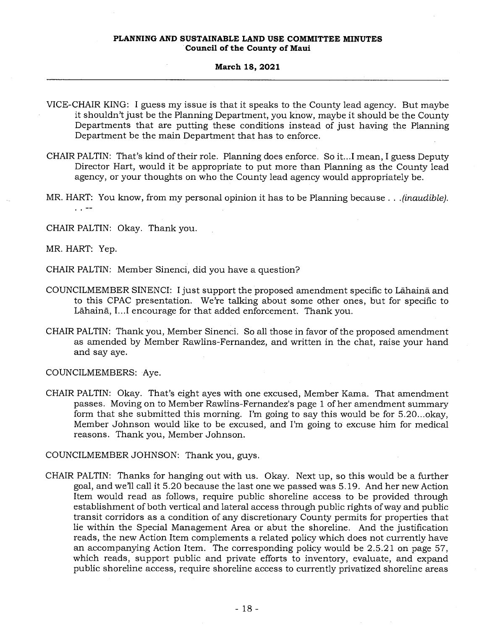#### **March 18, 2021**

- VICE-CHAIR KING: I guess my issue is that it speaks to the County lead agency. But maybe it shouldn't just be the Planning Department, you know, maybe it should be the County Departments that are putting these conditions instead of just having the Planning Department be the main Department that has to enforce.
- CHAIR PALTIN: That's kind of their role. Planning does enforce. So it...I mean, I guess Deputy Director Hart, would it be appropriate to put more than Planning as the County lead agency, or your thoughts on who the County lead agency would appropriately be.
- MR. HART: You know, from my personal opinion it has to be Planning because . . . *(inaudible). . .*
- CHAIR PALTIN: Okay. Thank you.

MR. HART: Yep.

CHAIR PALTIN: Member Sinenci, did you have a question?

- COUNCILMEMBER SINENCI: I just support the proposed amendment specific to Lahaind and to this CPAC presentation. We're talking about some other ones, but for specific to Lāhainā, I...I encourage for that added enforcement. Thank you.
- CHAIR PALTIN: Thank you, Member Sinenci. So all those in favor of the proposed amendment as amended by Member Rawlins-Fernandez, and written in the chat, raise your hand and say aye.

COUNCILMEMBERS: Aye.

CHAIR PALTIN: Okay. That's eight ayes with one excused, Member Kama. That amendment passes. Moving on to Member Rawlins-Fernandez's page 1 of her amendment summary form that she submitted this morning. I'm going to say this would be for 5.20...okay, Member Johnson would like to be excused, and I'm going to excuse him for medical reasons. Thank you, Member Johnson.

COUNCILMEMBER JOHNSON: Thank you, guys.

CHAIR PALTIN: Thanks for hanging out with us. Okay. Next up, so this would be a further goal, and we'll call it 5.20 because the last one we passed was 5.19. And her new Action Item would read as follows, require public shoreline access to be provided through establishment of both vertical and lateral access through public rights of way and public transit corridors as a condition of any discretionary County permits for properties that lie within the Special Management Area or abut the shoreline. And the justification reads, the new Action Item complements a related policy which does not currently have an accompanying Action Item. The corresponding policy would be 2.5.21 on page 57, which reads, support public and private efforts to inventory, evaluate, and expand public shoreline access, require shoreline access to currently privatized shoreline areas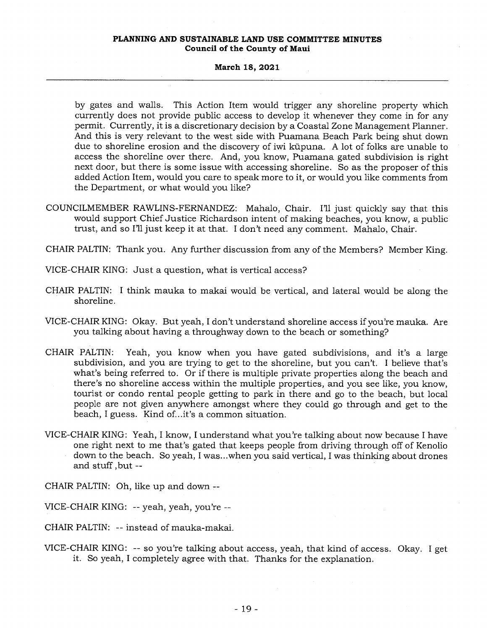#### **March 18, 2021**

by gates and walls. This Action Item would trigger any shoreline property which currently does not provide public access to develop it whenever they come in for any permit. Currently, it is a discretionary decision by a Coastal Zone Management Planner. And this is very relevant to the west side with Puamana Beach Park being shut down due to shoreline erosion and the discovery of iwi kūpuna. A lot of folks are unable to access the shoreline over there. And, you know, Puamana gated subdivision is right next door, but there is some issue with accessing shoreline. So as the proposer of this added Action Item, would you care to speak more to it, or would you like comments from the Department, or what would you like?

- COUNCILMEMBER RAWLINS-FERNANDEZ: Mahalo, Chair. I'll just quickly say that this would support Chief Justice Richardson intent of making beaches, you know, a public trust, and so I'll just keep it at that. I don't need any comment. Mahalo, Chair.
- CHAIR PALTIN: Thank you. Any further discussion from any of the Members? Member King.
- VICE-CHAIR KING: Just a question, what is vertical access?
- CHAIR PALTIN: I think mauka to makai would be vertical, and lateral would be along the shoreline.
- VICE-CHAIR KING: Okay. But yeah, I don't understand shoreline access if you're mauka. Are you talking about having a throughway down to the beach or something?
- CHAIR PALTIN: Yeah, you know when you have gated subdivisions, and it's a large subdivision, and you are trying to get to the shoreline, but you can't. I believe that's what's being referred to. Or if there is multiple private properties along the beach and there's no shoreline access within the multiple properties, and you see like, you know, tourist or condo rental people getting to park in there and go to the beach, but local people are not given anywhere amongst where they could go through and get to the beach, I guess. Kind of...it's a common situation.
- VICE-CHAIR KING: Yeah, I know, I understand what you're talking about now because I have one right next to me that's gated that keeps people from driving through off of Kenolio down to the beach. So yeah, I was...when you said vertical, I was thinking about drones and stuff ,but

CHAIR PALTIN: Oh, like up and down --

VICE-CHAIR KING: -- yeah, yeah, you're --

CHAIR PALTIN: -- instead of mauka-makai.

VICE-CHAIR KING: -- so you're talking about access, yeah, that kind of access. Okay. I get it. So yeah, I completely agree with that. Thanks for the explanation.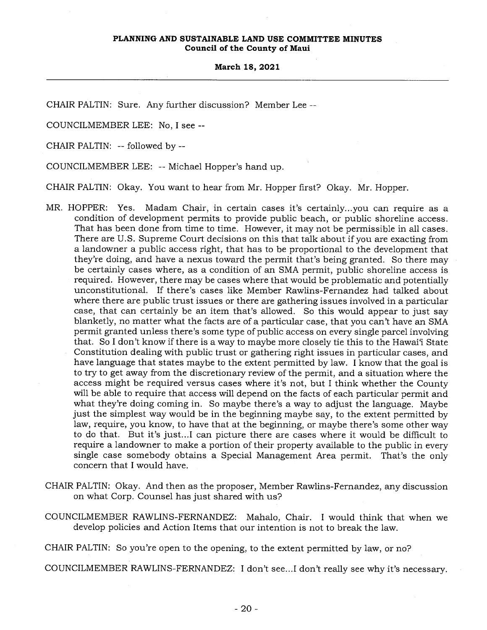CHAIR PALTIN: Sure. Any further discussion? Member Lee --

COUNCILMEMBER LEE: No, I see --

CHAIR PALTIN: -- followed by --

COUNCILMEMBER LEE: -- Michael Hopper's hand up.

CHAIR PALTIN: Okay. You want to hear from Mr. Hopper first? Okay. Mr. Hopper.

- MR. HOPPER: Yes. Madam Chair, in certain cases it's certainly...you can require as a condition of development permits to provide public beach, or public shoreline access. That has been done from time to time. However, it may not be permissible in all cases. There are U.S. Supreme Court decisions on this that talk about if you are exacting from a landowner a public access right, that has to be proportional to the development that they're doing, and have a nexus toward the permit that's being granted. So there may be certainly cases where, as a condition of an SMA permit, public shoreline access is required. However, there may be cases where that would be problematic and potentially unconstitutional. If there's cases like Member Rawlins-Fernandez had talked about where there are public trust issues or there are gathering issues involved in a particular case, that can certainly be an item that's allowed. So this would appear to just say blanketly, no matter what the facts are of a particular case, that you can't have an SMA permit granted unless there's some type of public access on every single parcel involving that. So I don't know if there is a way to maybe more closely tie this to the Hawai'i State Constitution dealing with public trust or gathering right issues in particular cases, and have language that states maybe to the extent permitted by law. I know that the goal is to try to get away from the discretionary review of the permit, and a situation where the access might be required versus cases where it's not, but I think whether the County will be able to require that access will depend on the facts of each particular permit and what they're doing coming in. So maybe there's a way to adjust the language. Maybe just the simplest way would be in the beginning maybe say, to the extent permitted by law, require, you know, to have that at the beginning, or maybe there's some other way to do that. But it's just...I can picture there are cases where it would be difficult to require a landowner to make a portion of their property available to the public in every single case somebody obtains a Special Management Area permit. That's the only concern that I would have.
- CHAIR PALTIN: Okay. And then as the proposer, Member Rawlins-Fernandez, any discussion on what Corp. Counsel has just shared with us?
- COUNCILMEMBER RAWLINS-FERNANDEZ: Mahalo, Chair. I would think that when we develop policies and Action Items that our intention is not to break the law.

CHAIR PALTIN: So you're open to the opening, to the extent permitted by law, or no?

COUNCILMEMBER RAWLINS-FERNANDEZ: I don't see...I don't really see why it's necessary.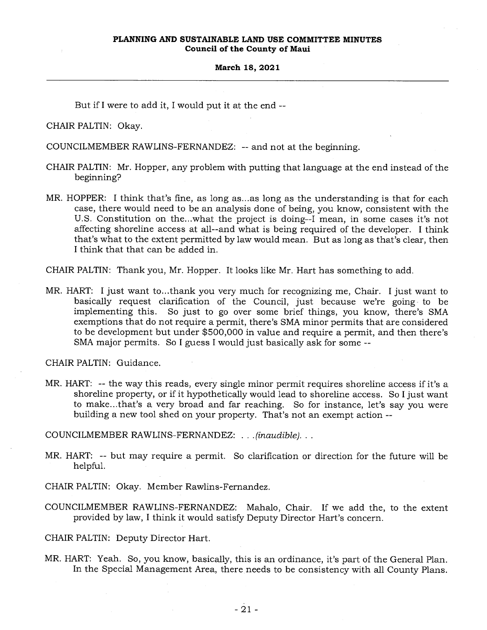But if I were to add it, I would put it at the end --

CHAIR PALTIN: Okay.

COUNCILMEMBER RAWLINS-FERNANDEZ: -- and not at the beginning.

- CHAIR PALTIN: Mr. Hopper, any problem with putting that language at the end instead of the beginning?
- MR. HOPPER: I think that's fine, as long as...as long as the understanding is that for each case, there would need to be an analysis done of being, you know, consistent with the U.S. Constitution on the...what the project is doing--I mean, in some cases it's not affecting shoreline access at all--and what is being required of the developer. I think that's what to the extent permitted by law would mean. But as long as that's clear, then I think that that can be added in.

CHAIR PALTIN: Thank you, Mr. Hopper. It looks like Mr. Hart has something to add.

MR. HART: I just want to...thank you very much for recognizing me, Chair. I just want to basically request clarification of the Council, just because we're going to be implementing this. So just to go over some brief things, you know, there's SMA exemptions that do not require a permit, there's SMA minor permits that are considered to be development but under \$500,000 in value and require a permit, and then there's SMA major permits. So I guess I would just basically ask for some --

CHAIR PALTIN: Guidance.

MR. HART: -- the way this reads, every single minor permit requires shoreline access if it's a shoreline property, or if it hypothetically would lead to shoreline access. So I just want to make...that's a very broad and far reaching. So for instance, let's say you were building a new tool shed on your property. That's not an exempt action --

COUNCILMEMBER RAWLINS-FERNANDEZ: . . *. (inaudible).. .* 

MR. HART: -- but may require a permit. So clarification or direction for the future will be helpful.

CHAIR PALTIN: Okay. Member Rawlins-Fernandez.

COUNCILMEMBER RAWLINS-FERNANDEZ: Mahalo, Chair. If we add the, to the extent provided by law, I think it would satisfy Deputy Director Hart's concern.

CHAIR PALTIN: Deputy Director Hart.

MR. HART: Yeah. So, you know, basically, this is an ordinance, it's part of the General Plan. In the Special Management Area, there needs to be consistency with all County Plans.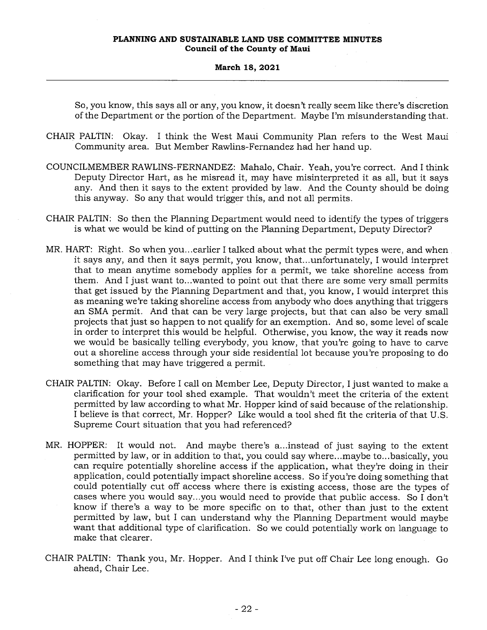#### **March 18, 2021**

So, you know, this says all or any, you know, it doesn't really seem like there's discretion of the Department or the portion of the Department. Maybe I'm misunderstanding that.

- CHAIR PALTIN: Okay. I think the West Maui Community Plan refers to the West Maui Community area. But Member Rawlins-Fernandez had her hand up.
- COUNCILMEMBER RAWLINS-FERNANDEZ: Mahalo, Chair. Yeah, you're correct. And I think Deputy Director Hart, as he misread it, may have misinterpreted it as all, but it says any. And then it says to the extent provided by law. And the County should be doing this anyway. So any that would trigger this, and not all permits.
- CHAIR PALTIN: So then the Planning Department would need to identify the types of triggers is what we would be kind of putting on the Planning Department, Deputy Director?
- MR. HART: Right. So when you...earlier I talked about what the permit types were, and when it says any, and then it says permit, you know, that...unfortunately, I would interpret that to mean anytime somebody applies for a permit, we take shoreline access from them. And I just want to...wanted to point out that there are some very small permits that get issued by the Planning Department and that, you know, I would interpret this as meaning we're taking shoreline access from anybody who does anything that triggers an SMA permit. And that can be very large projects, but that can also be very small projects that just so happen to not qualify for an exemption. And so, some level of scale in order to interpret this would be helpful. Otherwise, you know, the way it reads now we would be basically telling everybody, you know, that you're going to have to carve out a shoreline access through your side residential lot because you're proposing to do something that may have triggered a permit.
- CHAIR PALTIN: Okay. Before I call on Member Lee, Deputy Director, I just wanted to make a clarification for your tool shed example. That wouldn't meet the criteria of the extent permitted by law according to what Mr. Hopper kind of said because of the relationship. I believe is that correct, Mr. Hopper? Like would a tool shed fit the criteria of that U.S. Supreme Court situation that you had referenced?
- MR. HOPPER: It would not. And maybe there's a...instead of just saying to the extent permitted by law, or in addition to that, you could say where...maybe to...basically, you can require potentially shoreline access if the application, what they're doing in their application, could potentially impact shoreline access. So if you're doing something that could potentially cut off access where there is existing access, those are the types of cases where you would say...you would need to provide that public access. So I don't know if there's a way to be more specific on to that, other than just to the extent permitted by law, but I can understand why the Planning Department would maybe want that additional type of clarification. So we could potentially work on language to make that clearer.
- CHAIR PALTIN: Thank you, Mr. Hopper. And I think I've put off Chair Lee long enough. Go ahead, Chair Lee.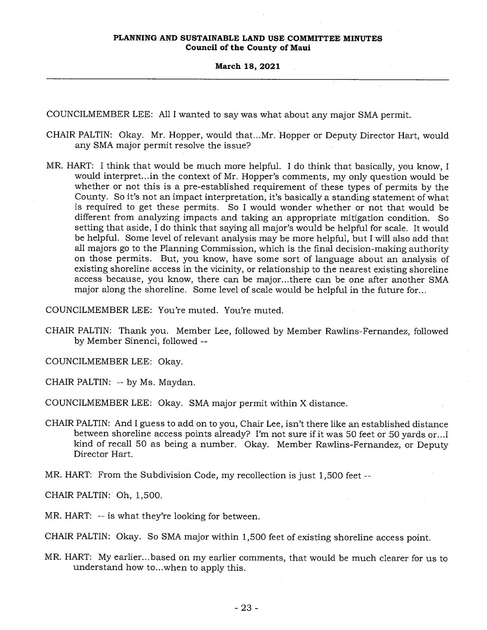COUNCILMEMBER LEE: All I wanted to say was what about any major SMA permit.

- CHAIR PALTIN: Okay. Mr. Hopper, would that...Mr. Hopper or Deputy Director Hart, would any SMA major permit resolve the issue?
- MR. HART: I think that would be much more helpful. I do think that basically, you know, I would interpret...in the context of Mr. Hopper's comments, my only question would be whether or not this is a pre-established requirement of these types of permits by the County. So it's not an impact interpretation, it's basically a standing statement of what is required to get these permits. So I would wonder whether or not that would be different from analyzing impacts and taking an appropriate mitigation condition. So setting that aside, I do think that saying all major's would be helpful for scale. It would be helpful. Some level of relevant analysis may be more helpful, but I will also add that all majors go to the Planning Commission, which is the final decision-making authority on those permits. But, you know, have some sort of language about an analysis of existing shoreline access in the vicinity, or relationship to the nearest existing shoreline access because, you know, there can be major...there can be one after another SMA major along the shoreline. Some level of scale would be helpful in the future for...

COUNCILMEMBER LEE: You're muted. You're muted.

- CHAIR PALTIN: Thank you. Member Lee, followed by Member Rawlins-Fernandez, followed by Member Sinenci, followed --
- COUNCILMEMBER LEE: Okay.
- CHAIR PALTIN: -- by Ms. Maydan.

COUNCILMEMBER LEE: Okay. SMA major permit within X distance.

- CHAIR PALTIN: And I guess to add on to you, Chair Lee, isn't there like an established distance between shoreline access points already? I'm not sure if it was 50 feet or 50 yards or...I kind of recall 50 as being a number. Okay. Member Rawlins-Fernandez, or Deputy Director Hart.
- MR. HART: From the Subdivision Code, my recollection is just 1,500 feet --

CHAIR PALTIN: Oh, 1,500.

MR. HART: -- is what they're looking for between.

CHAIR PALTIN: Okay. So SMA major within 1,500 feet of existing shoreline access point.

MR. HART: My earlier...based on my earlier comments, that would be much clearer for us to understand how to...when to apply this.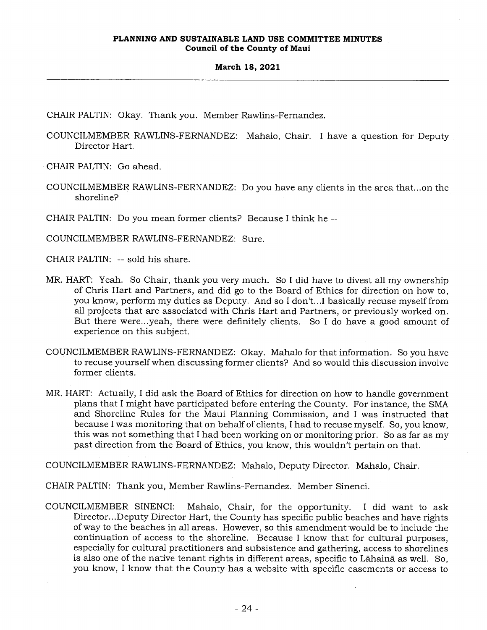CHAIR PALTIN: Okay. Thank you. Member Rawlins-Fernandez.

COUNCILMEMBER RAWLINS-FERNANDEZ: Mahalo, Chair. I have a question for Deputy Director Hart.

CHAIR PALTIN: Go ahead.

COUNCILMEMBER RAWLINS-FERNANDEZ: Do you have any clients in the area that...on the shoreline?

CHAIR PALTIN: Do you mean former clients? Because I think he --

COUNCILMEMBER RAWLINS-FERNANDEZ: Sure.

CHAIR PALTIN: -- sold his share.

- MR. HART: Yeah. So Chair, thank you very much. So I did have to divest all my ownership of Chris Hart and Partners, and did go to the Board of Ethics for direction on how to, you know, perform my duties as Deputy. And so I don't...I basically recuse myself from all projects that are associated with Chris Hart and Partners, or previously worked on. But there were...yeah, there were definitely clients. So I do have a good amount of experience on this subject.
- COUNCILMEMBER RAWLINS-FERNANDEZ: Okay. Mahalo for that information. So you have to recuse yourself when discussing former clients? And so would this discussion involve former clients.
- MR. HART: Actually, I did ask the Board of Ethics for direction on how to handle government plans that I might have participated before entering the County. For instance, the SMA and Shoreline Rules for the Maui Planning Commission, and I was instructed that because I was monitoring that on behalf of clients, I had to recuse myself. So, you know, this was not something that I had been working on or monitoring prior. So as far as my past direction from the Board of Ethics, you know, this wouldn't pertain on that.

COUNCILMEMBER RAWLINS-FERNANDEZ: Mahalo, Deputy Director. Mahalo, Chair.

CHAIR PALTIN: Thank you, Member Rawlins-Fernandez. Member Sinenci.

COUNCILMEMBER SINENCI: Mahalo, Chair, for the opportunity. I did want to ask Director...Deputy Director Hart, the County has specific public beaches and have rights of way to the beaches in all areas. However, so this amendment would be to include the continuation of access to the shoreline. Because I know that for cultural purposes, especially for cultural practitioners and subsistence and gathering, access to shorelines is also one of the native tenant rights in different areas, specific to Lahaina as well. So, you know, I know that the County has a website with specific easements or access to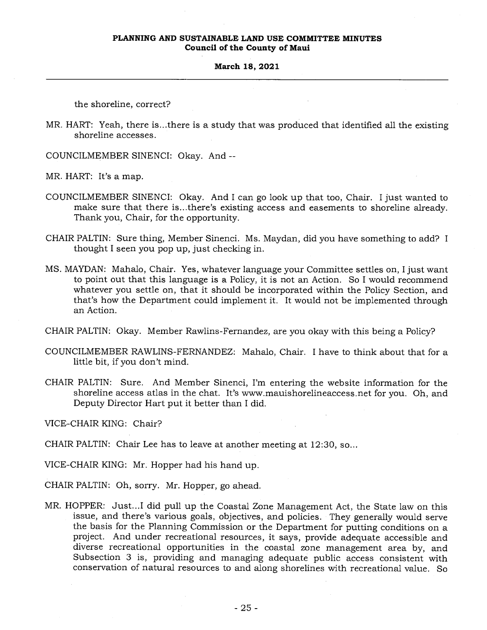# **March 18, 2021**

the shoreline, correct?

MR. HART: Yeah, there is...there is a study that was produced that identified all the existing shoreline accesses.

COUNCILMEMBER SINENCI: Okay. And --

MR. HART: It's a map.

- COUNCILMEMBER SINENCI: Okay. And I can go look up that too, Chair. I just wanted to make sure that there is...there's existing access and easements to shoreline already. Thank you, Chair, for the opportunity.
- CHAIR PALTIN: Sure thing, Member Sinenci. Ms. Maydan, did you have something to add? I thought I seen you pop up, just checking in.
- MS. MAYDAN: Mahalo, Chair. Yes, whatever language your Committee settles on, I just want to point out that this language is a Policy, it is not an Action. So I would recommend whatever you settle on, that it should be incorporated within the Policy Section, and that's how the Department could implement it. It would not be implemented through an Action.
- CHAIR PALTIN: Okay. Member Rawlins-Fernandez, are you okay with this being a Policy?
- COUNCILMEMBER RAWLINS-FERNANDEZ: Mahalo, Chair. I have to think about that for a little bit, if you don't mind.
- CHAIR PALTIN: Sure. And Member Sinenci, I'm entering the website information for the shoreline access atlas in the chat. It's www.mauishorelineaccess.net for you. Oh, and Deputy Director Hart put it better than I did.

VICE-CHAIR KING: Chair?

CHAIR PALTIN: Chair Lee has to leave at another meeting at 12:30, so...

VICE-CHAIR KING: Mr. Hopper had his hand up.

CHAIR PALTIN: Oh, sorry. Mr. Hopper, go ahead.

MR. HOPPER: Just...I did pull up the Coastal Zone Management Act, the State law on this issue, and there's various goals, objectives, and policies. They generally would serve the basis for the Planning Commission or the Department for putting conditions on a project. And under recreational resources, it says, provide adequate accessible and diverse recreational opportunities in the coastal zone management area by, and Subsection 3 is, providing and managing adequate public access consistent with conservation of natural resources to and along shorelines with recreational value. So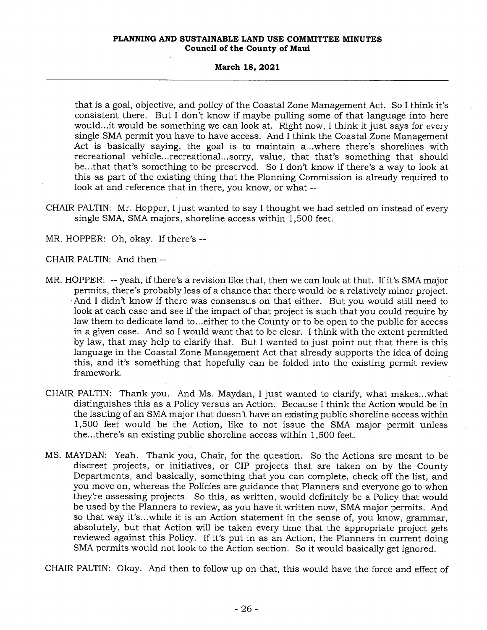### **March 18, 2021**

that is a goal, objective, and policy of the Coastal Zone Management Act. So I think it's consistent there. But I don't know if maybe pulling some of that language into here would...it would be something we can look at. Right now, I think it just says for every single SMA permit you have to have access. And I think the Coastal Zone Management Act is basically saying, the goal is to maintain a...where there's shorelines with recreational vehicle...recreational...sorry, value, that that's something that should be...that that's something to be preserved. So I don't know if there's a way to look at this as part of the existing thing that the Planning Commission is already required to look at and reference that in there, you know, or what --

CHAIR PALTIN: Mr. Hopper, I just wanted to say I thought we had settled on instead of every single SMA, SMA majors, shoreline access within 1,500 feet.

MR. HOPPER: Oh, okay. If there's --

CHAIR PALTIN: And then --

- MR. HOPPER: -- yeah, if there's a revision like that, then we can look at that. If it's SMA major permits, there's probably less of a chance that there would be a relatively minor project. And I didn't know if there was consensus on that either. But you would still need to look at each case and see if the impact of that project is such that you could require by law them to dedicate land to...either to the County or to be open to the public for access in a given case. And so I would want that to be clear. I think with the extent permitted by law, that may help to clarify that. But I wanted to just point out that there is this language in the Coastal Zone Management Act that already supports the idea of doing this, and it's something that hopefully can be folded into the existing permit review framework.
- CHAIR PALTIN: Thank you. And Ms. Maydan, I just wanted to clarify, what makes...what distinguishes this as a Policy versus an Action. Because I think the Action would be in the issuing of an SMA major that doesn't have an existing public shoreline access within 1,500 feet would be the Action, like to not issue the SMA major permit unless the...there's an existing public shoreline access within 1,500 feet.
- MS. MAYDAN: Yeah. Thank you, Chair, for the question. So the Actions are meant to be discreet projects, or initiatives, or CIP projects that are taken on by the County Departments, and basically, something that you can complete, check off the list, and you move on, whereas the Policies are guidance that Planners and everyone go to when they're assessing projects. So this, as written, would definitely be a Policy that would be used by the Planners to review, as you have it written now, SMA major permits. And so that way it's...while it is an Action statement in the sense of, you know, grammar, absolutely, but that Action will be taken every time that the appropriate project gets reviewed against this Policy. If it's put in as an Action, the Planners in current doing SMA permits would not look to the Action section. So it would basically get ignored.

CHAIR PALTIN: Okay. And then to follow up on that, this would have the force and effect of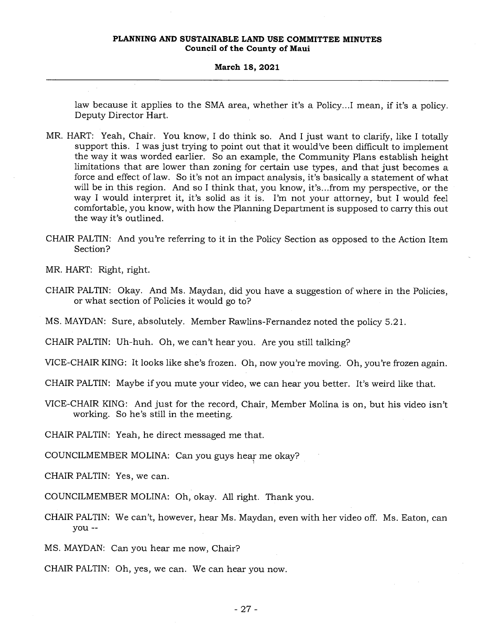#### **March 18, 2021**

law because it applies to the SMA area, whether it's a Policy...I mean, if it's a policy. Deputy Director Hart.

- MR. HART: Yeah, Chair. You know, I do think so. And I just want to clarify, like I totally support this. I was just trying to point out that it would've been difficult to implement the way it was worded earlier. So an example, the Community Plans establish height limitations that are lower than zoning for certain use types, and that just becomes a force and effect of law. So it's not an impact analysis, it's basically a statement of what will be in this region. And so I think that, you know, it's...from my perspective, or the way I would interpret it, it's solid as it is. I'm not your attorney, but I would feel comfortable, you know, with how the Planning Department is supposed to carry this out the way it's outlined.
- CHAIR PALTIN: And you're referring to it in the Policy Section as opposed to the Action Item Section?

MR. HART: Right, right.

CHAIR PALTIN: Okay. And Ms. Maydan, did you have a suggestion of where in the Policies, or what section of Policies it would go to?

MS. MAYDAN: Sure, absolutely. Member Rawlins-Fernandez noted the policy 5.21.

CHAIR PALTIN: Uh-huh. Oh, we can't hear you. Are you still talking?

VICE-CHAIR KING: It looks like she's frozen. Oh, now you're moving. Oh, you're frozen again.

CHAIR PALTIN: Maybe if you mute your video, we can hear you better. It's weird like that.

VICE-CHAIR KING: And just for the record, Chair, Member Molina is on, but his video isn't working. So he's still in the meeting.

CHAIR PALTIN: Yeah, he direct messaged me that.

COUNCILMEMBER MOLINA: Can you guys hear me okay?

CHAIR PALTIN: Yes, we can.

COUNCILMEMBER MOLINA: Oh, okay. All right. Thank you.

CHAIR PALTIN: We can't, however, hear Ms. Maydan, even with her video off. Ms. Eaton, can you --

MS. MAYDAN: Can you hear me now, Chair?

CHAIR PALTIN: Oh, yes, we can. We can hear you now.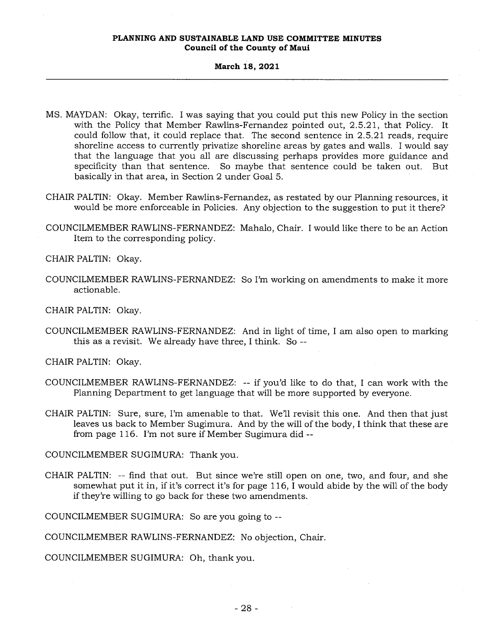# **March 18, 2021**

- MS. MAYDAN: Okay, terrific. I was saying that you could put this new Policy in the section with the Policy that Member Rawlins-Fernandez pointed out, 2.5.21, that Policy. It could follow that, it could replace that. The second sentence in 2.5.21 reads, require shoreline access to currently privatize shoreline areas by gates and walls. I would say that the language that you all are discussing perhaps provides more guidance and specificity than that sentence. So maybe that sentence could be taken out. But basically in that area, in Section 2 under Goal 5.
- CHAIR PALTIN: Okay. Member Rawlins-Fernandez, as restated by our Planning resources, it would be more enforceable in Policies. Any objection to the suggestion to put it there?
- COUNCILMEMBER RAWLINS-FERNANDEZ: Mahalo, Chair. I would like there to be an Action Item to the corresponding policy.

CHAIR PALTIN: Okay.

COUNCILMEMBER RAWLINS-FERNANDEZ: So I'm working on amendments to make it more actionable.

CHAIR PALTIN: Okay.

COUNCILMEMBER RAWLINS-FERNANDEZ: And in light of time, I am also open to marking this as a revisit. We already have three, I think. So --

CHAIR PALTIN: Okay.

- COUNCILMEMBER RAWLINS-FERNANDEZ: -- if you'd like to do that, I can work with the Planning Department to get language that will be more supported by everyone.
- CHAIR PALTIN: Sure, sure, I'm amenable to that. We'll revisit this one. And then that just leaves us back to Member Sugimura. And by the will of the body, I think that these are from page 116. I'm not sure if Member Sugimura did --

COUNCILMEMBER SUGIMURA: Thank you.

CHAIR PALTIN: -- find that out. But since we're still open on one, two, and four, and she somewhat put it in, if it's correct it's for page 116, I would abide by the will of the body if they're willing to go back for these two amendments.

COUNCILMEMBER SUGIMURA: So are you going to --

COUNCILMEMBER RAWLINS-FERNANDEZ: No objection, Chair.

COUNCILMEMBER SUGIMURA: Oh, thank you.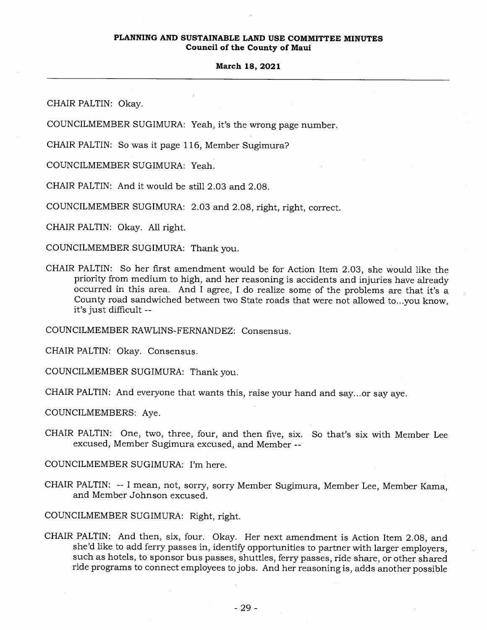# **March 18, 2021**

CHAIR PALTIN: Okay.

COUNCILMEMBER SUGIMURA: Yeah, it's the wrong page number.

CHAIR PALTIN: So was it page 116, Member Sugimura?

COUNCILMEMBER SUGIMURA: Yeah.

CHAIR PALTIN: And it would be still 2.03 and 2.08.

COUNCILMEMBER SUGIMURA: 2.03 and 2.08, right, right, correct.

CHAIR PALTIN: Okay. All right.

COUNCILMEMBER SUGIMURA: Thank you.

CHAIR PALTIN: So her first amendment would be for Action Item 2.03, she would like the priority from medium to high, and her reasoning is accidents and injuries have already occurred in this area. And I agree, I do realize some of the problems are that it's a County road sandwiched between two State roads that were not allowed to...you know, it's just difficult --

COUNCILMEMBER RAWLINS-FERNANDEZ: Consensus.

CHAIR PALTIN: Okay. Consensus.

COUNCILMEMBER SUGIMURA: Thank you.

CHAIR PALTIN: And everyone that wants this, raise your hand and say...or say aye.

COUNCILMEMBERS: Aye.

CHAIR PALTIN: One, two, three, four, and then five, six. So that's six with Member Lee excused, Member Sugimura excused, and Member --

COUNCILMEMBER SUGIMURA: I'm here.

CHAIR PALTIN: -- I mean, not, sorry, sorry Member Sugimura, Member Lee, Member Kama, and Member Johnson excused.

COUNCILMEMBER SUGIMURA: Right, right.

CHAIR PALTIN: And then, six, four. Okay. Her next amendment is Action Item 2.08, and she'd like to add ferry passes in, identify opportunities to partner with larger employers, such as hotels, to sponsor bus passes, shuttles, ferry passes, ride share, or other shared ride programs to connect employees to jobs. And her reasoning is, adds another possible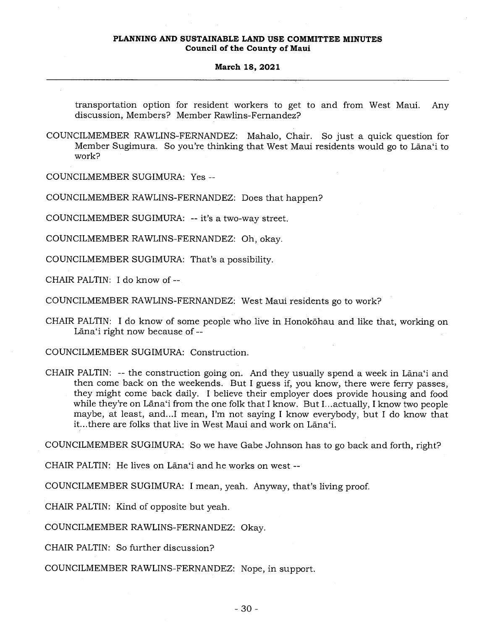### **March 18, 2021**

transportation option for resident workers to get to and from West Maui. Any discussion, Members? Member Rawlins-Fernandez?

COUNCILMEMBER RAWLINS-FERNANDEZ: Mahalo, Chair. So just a quick question for Member Sugimura. So you're thinking that West Maui residents would go to Lana`i to work?

COUNCILMEMBER SUGIMURA: Yes --

COUNCILMEMBER RAWLINS-FERNANDEZ: Does that happen?

COUNCILMEMBER SUGIMURA: -- it's a two-way street.

COUNCILMEMBER RAWLINS-FERNANDEZ: Oh, okay.

COUNCILMEMBER SUGIMURA: That's a possibility.

CHAIR PALTIN: I do know of --

COUNCILMEMBER RAWLINS-FERNANDEZ: West Maui residents go to work?

CHAIR PALTIN: I do know of some people who live in Honokohau and like that, working on Lāna'i right now because of --

COUNCILMEMBER SUGIMURA: Construction.

CHAIR PALTIN: -- the construction going on. And they usually spend a week in Lana`i and then come back on the weekends. But I guess if, you know, there were ferry passes, they might come back daily. I believe their employer does provide housing and food while they're on Lana'i from the one folk that I know. But I...actually, I know two people maybe, at least, and...I mean, I'm not saying I know everybody, but I do know that it...there are folks that live in West Maui and work on Lana`i.

COUNCILMEMBER SUGIMURA: So we have Gabe Johnson has to go back and forth, right?

CHAIR PALTIN: He lives on Lana'i and he works on west --

COUNCILMEMBER SUGIMURA: I mean, yeah. Anyway, that's living proof.

CHAIR PALTIN: Kind of opposite but yeah.

COUNCILMEMBER RAWLINS-FERNANDEZ: Okay.

CHAIR PALTIN: So further discussion?

COUNCILMEMBER RAWLINS-FERNANDEZ: Nope, in support.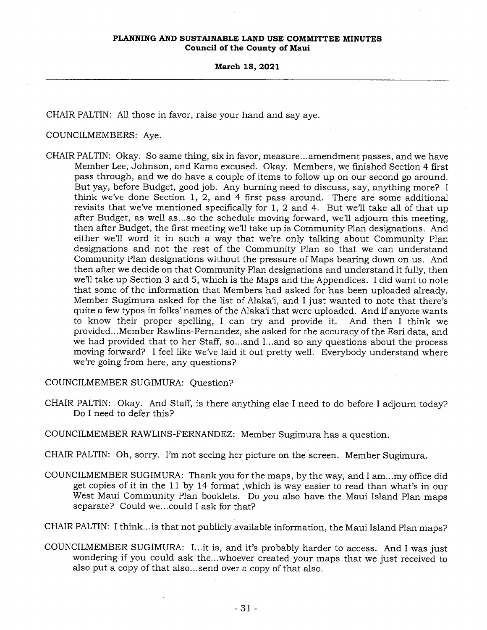CHAIR PALTIN: All those in favor, raise your hand and say aye.

# COUNCILMEMBERS: Aye.

CHAIR PALTIN: Okay. So same thing, six in favor, measure...amendment passes, and we have Member Lee, Johnson, and Kama excused. Okay. Members, we finished Section 4 first pass through, and we do have a couple of items to follow up on our second go around. But yay, before Budget, good job. Any burning need to discuss, say, anything more? I think we've done Section 1, 2, and 4 first pass around. There are some additional revisits that we've mentioned specifically for 1, 2 and 4. But we'll take all of that up after Budget, as well as...so the schedule moving forward, we'll adjourn this meeting, then after Budget, the first meeting we'll take up is Community Plan designations. And either we'll word it in such a way that we're only talking about Community Plan designations and not the rest of the Community Plan so that we can understand Community Plan designations without the pressure of Maps bearing down on us. And then after we decide on that Community Plan designations and understand it fully, then we'll take up Section 3 and 5, which is the Maps and the Appendices. I did want to note that some of the information that Members had asked for has been uploaded already. Member Sugimura asked for the list of Alaka`i, and I just wanted to note that there's quite a few typos in folks' names of the Alaka'i that were uploaded. And if anyone wants to know their proper spelling, I can try and provide it. And then I think we provided...Member Rawlins-Fernandez, she asked for the accuracy of the Esri data, and we had provided that to her Staff, so...and I...and so any questions about the process moving forward? I feel like we've laid it out pretty well. Everybody understand where we're going from here, any questions?

COUNCILMEMBER SUGIMURA: Question?

CHAIR PALTIN: Okay. And Staff, is there anything else I need to do before I adjourn today? Do I need to defer this?

COUNCILMEMBER RAWLINS-FERNANDEZ: Member Sugimura has a question.

CHAIR PALTIN: Oh, sorry. I'm not seeing her picture on the screen. Member Sugimura.

COUNCILMEMBER SUGIMURA: Thank you for the maps, by the way, and I am...my office did get copies of it in the 11 by 14 format ,which is way easier to read than what's in our West Maui Community Plan booklets. Do you also have the Maui Island Plan maps separate? Could we...could I ask for that?

CHAIR PALTIN: I think...is that not publicly available information, the Maui Island Plan maps?

COUNCILMEMBER SUGIMURA: I...it is, and it's probably harder to access. And I was just wondering if you could ask the...whoever created your maps that we just received to also put a copy of that also...send over a copy of that also.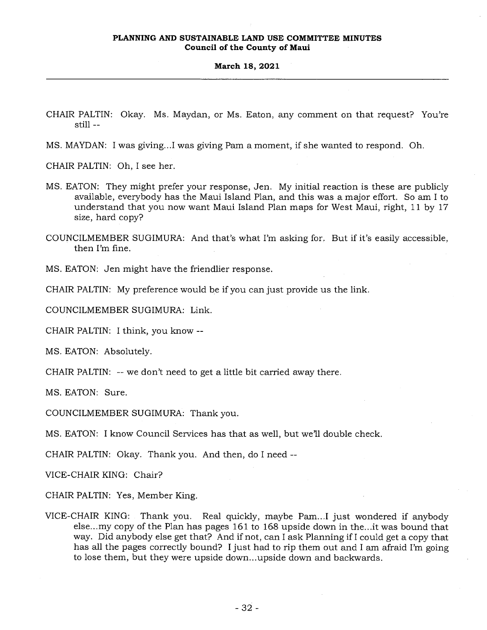- CHAIR PALTIN: Okay. Ms. Maydan, or Ms. Eaton, any comment on that request? You're still --
- MS. MAYDAN: I was giving...I was giving Pam a moment, if she wanted to respond. Oh.

CHAIR PALTIN: Oh, I see her.

- MS. EATON: They might prefer your response, Jen. My initial reaction is these are publicly available, everybody has the Maui Island Plan, and this was a major effort. So am I to understand that you now want Maui Island Plan maps for West Maui, right, 11 by 17 size, hard copy?
- COUNCILMEMBER SUGIMURA: And that's what I'm asking for. But if it's easily accessible, then I'm fine.

MS. EATON: Jen might have the friendlier response.

CHAIR PALTIN: My preference would be if you can just provide us the link.

COUNCILMEMBER SUGIMURA: Link.

CHAIR PALTIN: I think, you know --

MS. EATON: Absolutely.

CHAIR PALTIN: -- we don't need to get a little bit carried away there.

MS. EATON: Sure.

COUNCILMEMBER SUGIMURA: Thank you.

MS. EATON: I know Council Services has that as well, but we'll double check.

CHAIR PALTIN: Okay. Thank you. And then, do I need --

VICE-CHAIR KING: Chair?

CHAIR PALTIN: Yes, Member King.

VICE-CHAIR KING: Thank you. Real quickly, maybe Pam...I just wondered if anybody else...my copy of the Plan has pages 161 to 168 upside down in the...it was bound that way. Did anybody else get that? And if not, can I ask Planning if I could get a copy that has all the pages correctly bound? I just had to rip them out and I am afraid I'm going to lose them, but they were upside down...upside down and backwards.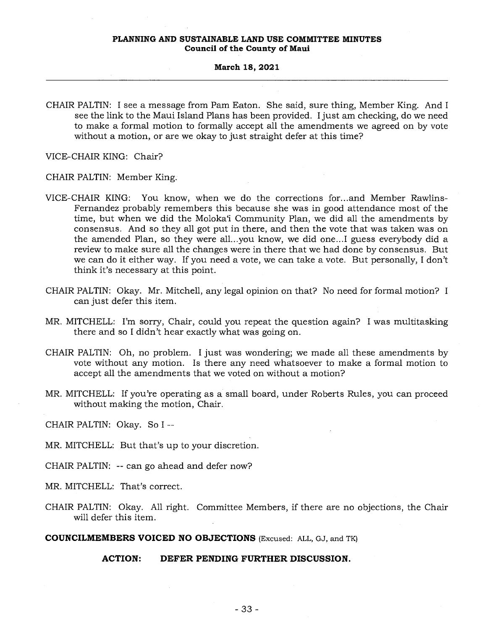CHAIR PALTIN: I see a message from Pam Eaton. She said, sure thing, Member King. And I see the link to the Maui Island Plans has been provided. I just am checking, do we need to make a formal motion to formally accept all the amendments we agreed on by vote without a motion, or are we okay to just straight defer at this time?

VICE-CHAIR KING: Chair?

CHAIR PALTIN: Member King.

- VICE-CHAIR KING: You know, when we do the corrections for...and Member Rawlins-Fernandez probably remembers this because she was in good attendance most of the time, but when we did the Moloka`i Community Plan, we did all the amendments by consensus. And so they all got put in there, and then the vote that was taken was on the amended Plan, so they were all...you know, we did one...I guess everybody did a review to make sure all the changes were in there that we had done by consensus. But we can do it either way. If you need a vote, we can take a vote. But personally, I don't think it's necessary at this point.
- CHAIR PALTIN: Okay. Mr. Mitchell, any legal opinion on that? No need for formal motion? I can just defer this item.
- MR. MITCHELL: I'm sorry, Chair, could you repeat the question again? I was multitasking there and so I didn't hear exactly what was going on.
- CHAIR PALTIN: Oh, no problem. I just was wondering; we made all these amendments by vote without any motion. Is there any need whatsoever to make a formal motion to accept all the amendments that we voted on without a motion?
- MR. MITCHELL: If you're operating as a small board, under Roberts Rules, you can proceed without making the motion, Chair.

CHAIR PALTIN: Okay. So I --

MR. MITCHELL: But that's up to your discretion.

CHAIR PALTIN: -- can go ahead and defer now?

MR. MITCHELL: That's correct.

CHAIR PALTIN: Okay. All right. Committee Members, if there are no objections, the Chair will defer this item.

**COUNCILMEMBERS VOICED NO OBJECTIONS** (Excused: ALL, GJ, and TK)

# **ACTION: DEFER PENDING FURTHER DISCUSSION.**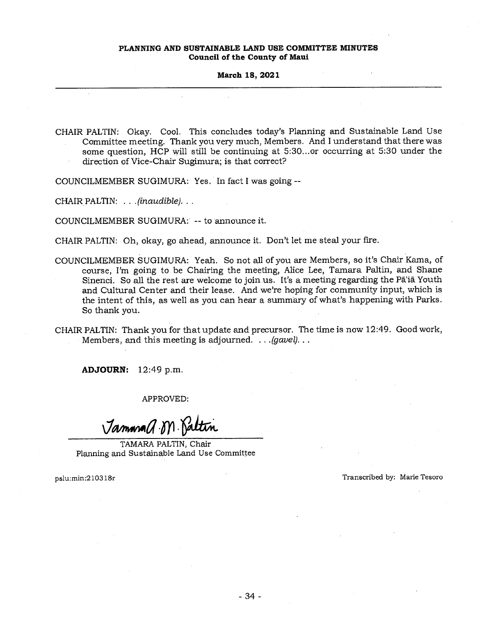#### **March 18, 2021**

CHAIR PALTIN: Okay. Cool. This concludes today's Planning and Sustainable Land Use Committee meeting. Thank you very much, Members. And I understand that there was some question, HCP will still be continuing at 5:30...or occurring at 5:30 under the direction of. Vice-Chair Sugimura; is that correct?

COUNCILMEMBER SUGIMURA: Yes. In fact I was going --

CHAIR PALTIN: . . *.(inaudible). . .* 

COUNCILMEMBER SUGIMURA: -- to announce it.

CHAIR PALTIN: Oh, okay, go ahead, announce it. Don't let me steal your fire.

COUNCILMEMBER SUGIMURA: Yeah. So not all of you are Members, so it's Chair Kama, of course, I'm going to be Chairing the meeting, Alice Lee, Tamara Paltin, and Shane Sinenci. So all the rest are welcome to join us. It's a meeting regarding the Pā'iā Youth and Cultural Center and their lease. And we're hoping for community input, which is the intent of this, as well as you can hear a summary of what's happening with Parks. So thank you.

CHAIR PALTIN: Thank you for that update and precursor. The time is now 12:49. Good work, Members, and this meeting is adjourned. . . *.(gavel). . .* 

**ADJOURN:** 12:49 p.m.

APPROVED:

Jammana a. M. Ka

TAMARA PALTIN, Chair Planning and Sustainable Land Use Committee

pslu:min:210318r Transcribed by: Marie Tesoro